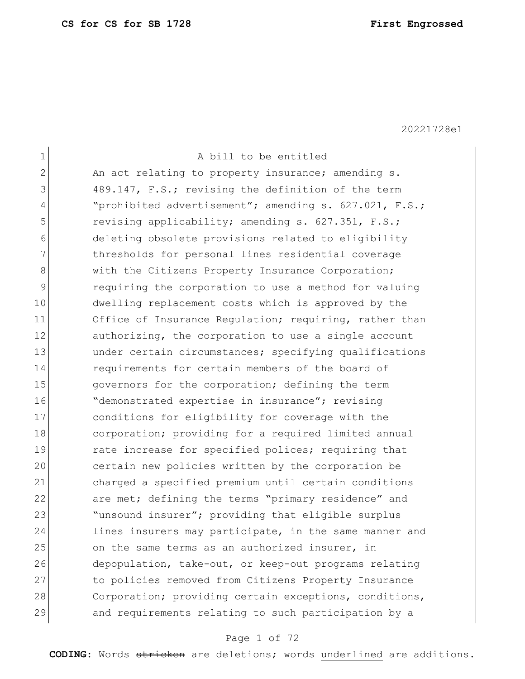| 1             | A bill to be entitled                                  |
|---------------|--------------------------------------------------------|
| $\mathbf{2}$  | An act relating to property insurance; amending s.     |
| 3             | 489.147, F.S.; revising the definition of the term     |
| 4             | "prohibited advertisement"; amending s. 627.021, F.S.; |
| 5             | revising applicability; amending s. 627.351, F.S.;     |
| 6             | deleting obsolete provisions related to eligibility    |
| 7             | thresholds for personal lines residential coverage     |
| 8             | with the Citizens Property Insurance Corporation;      |
| $\mathcal{G}$ | requiring the corporation to use a method for valuing  |
| 10            | dwelling replacement costs which is approved by the    |
| 11            | Office of Insurance Regulation; requiring, rather than |
| 12            | authorizing, the corporation to use a single account   |
| 13            | under certain circumstances; specifying qualifications |
| 14            | requirements for certain members of the board of       |
| 15            | governors for the corporation; defining the term       |
| 16            | "demonstrated expertise in insurance"; revising        |
| 17            | conditions for eligibility for coverage with the       |
| 18            | corporation; providing for a required limited annual   |
| 19            | rate increase for specified polices; requiring that    |
| 20            | certain new policies written by the corporation be     |
| 21            | charged a specified premium until certain conditions   |
| 22            | are met; defining the terms "primary residence" and    |
| 23            | "unsound insurer"; providing that eligible surplus     |
| 24            | lines insurers may participate, in the same manner and |
| 25            | on the same terms as an authorized insurer, in         |
| 26            | depopulation, take-out, or keep-out programs relating  |
| 27            | to policies removed from Citizens Property Insurance   |
| 28            | Corporation; providing certain exceptions, conditions, |
| 29            | and requirements relating to such participation by a   |

# Page 1 of 72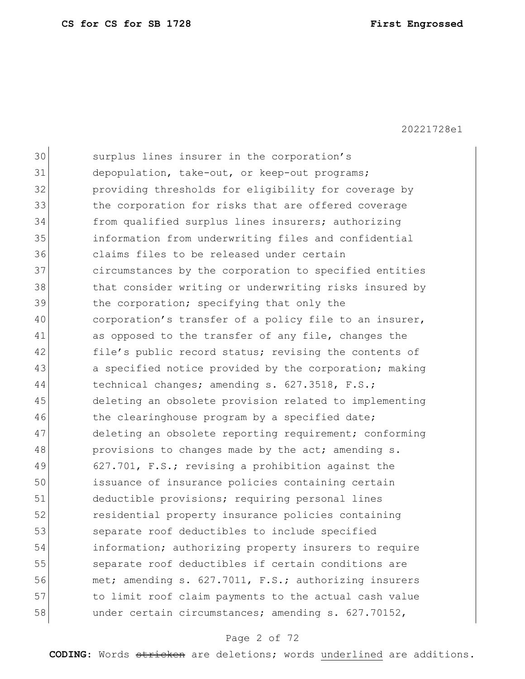30 surplus lines insurer in the corporation's 31 depopulation, take-out, or keep-out programs; 32 providing thresholds for eligibility for coverage by 33 blue corporation for risks that are offered coverage 34 from qualified surplus lines insurers; authorizing 35 information from underwriting files and confidential 36 claims files to be released under certain 37 circumstances by the corporation to specified entities 38 that consider writing or underwriting risks insured by 39 the corporation; specifying that only the 40 corporation's transfer of a policy file to an insurer, 41 as opposed to the transfer of any file, changes the 42 file's public record status; revising the contents of 43 a specified notice provided by the corporation; making 44 technical changes; amending s. 627.3518, F.S.; 45 deleting an obsolete provision related to implementing 46 the clearinghouse program by a specified date; 47 deleting an obsolete reporting requirement; conforming 48 provisions to changes made by the act; amending s. 49 627.701, F.S.; revising a prohibition against the 50 issuance of insurance policies containing certain 51 deductible provisions; requiring personal lines 52 residential property insurance policies containing 53 separate roof deductibles to include specified 54 information; authorizing property insurers to require 55 separate roof deductibles if certain conditions are 56 met; amending s. 627.7011, F.S.; authorizing insurers 57 to limit roof claim payments to the actual cash value 58 under certain circumstances; amending s. 627.70152,

#### Page 2 of 72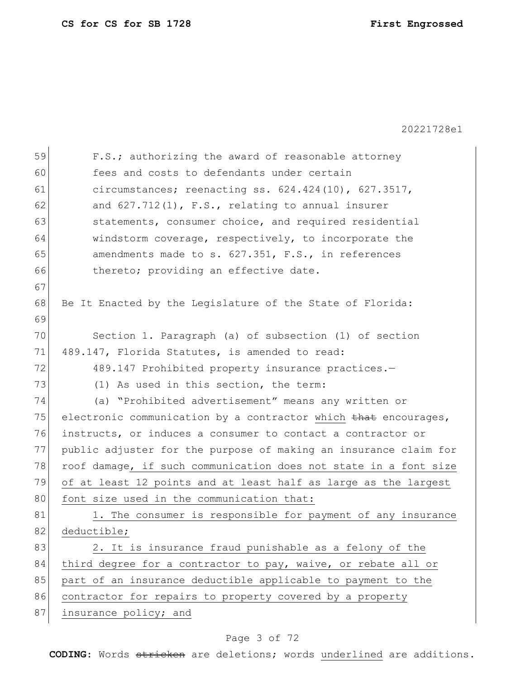| 59 | F.S.; authorizing the award of reasonable attorney               |
|----|------------------------------------------------------------------|
| 60 | fees and costs to defendants under certain                       |
| 61 | circumstances; reenacting ss. $624.424(10)$ , $627.3517$ ,       |
| 62 | and 627.712(1), F.S., relating to annual insurer                 |
| 63 | statements, consumer choice, and required residential            |
| 64 | windstorm coverage, respectively, to incorporate the             |
| 65 | amendments made to s. 627.351, F.S., in references               |
| 66 | thereto; providing an effective date.                            |
| 67 |                                                                  |
| 68 | Be It Enacted by the Legislature of the State of Florida:        |
| 69 |                                                                  |
| 70 | Section 1. Paragraph (a) of subsection (1) of section            |
| 71 | 489.147, Florida Statutes, is amended to read:                   |
| 72 | 489.147 Prohibited property insurance practices.-                |
| 73 | (1) As used in this section, the term:                           |
| 74 | (a) "Prohibited advertisement" means any written or              |
| 75 | electronic communication by a contractor which that encourages,  |
| 76 | instructs, or induces a consumer to contact a contractor or      |
| 77 | public adjuster for the purpose of making an insurance claim for |
| 78 | roof damage, if such communication does not state in a font size |
| 79 | of at least 12 points and at least half as large as the largest  |
| 80 | font size used in the communication that:                        |
| 81 | 1. The consumer is responsible for payment of any insurance      |
| 82 | deductible;                                                      |
| 83 | 2. It is insurance fraud punishable as a felony of the           |
| 84 | third degree for a contractor to pay, waive, or rebate all or    |
| 85 | part of an insurance deductible applicable to payment to the     |
| 86 | contractor for repairs to property covered by a property         |
| 87 | insurance policy; and                                            |

# Page 3 of 72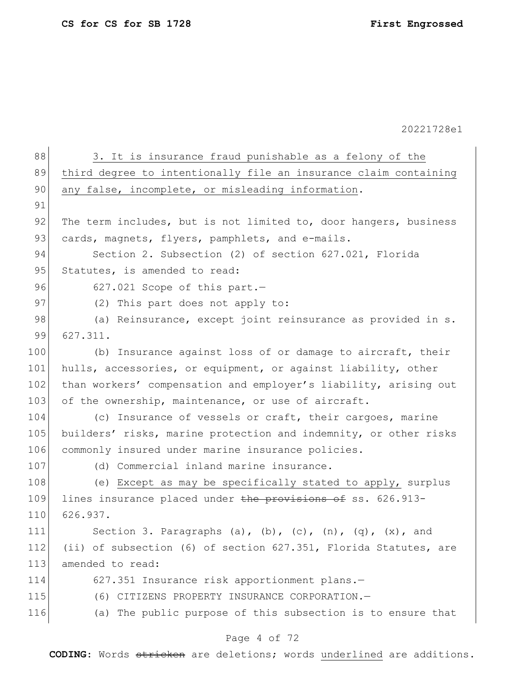| 88  | 3. It is insurance fraud punishable as a felony of the           |
|-----|------------------------------------------------------------------|
| 89  | third degree to intentionally file an insurance claim containing |
| 90  | any false, incomplete, or misleading information.                |
| 91  |                                                                  |
| 92  | The term includes, but is not limited to, door hangers, business |
| 93  | cards, magnets, flyers, pamphlets, and e-mails.                  |
| 94  | Section 2. Subsection (2) of section 627.021, Florida            |
| 95  | Statutes, is amended to read:                                    |
| 96  | 627.021 Scope of this part.-                                     |
| 97  | (2) This part does not apply to:                                 |
| 98  | (a) Reinsurance, except joint reinsurance as provided in s.      |
| 99  | 627.311.                                                         |
| 100 | (b) Insurance against loss of or damage to aircraft, their       |
| 101 | hulls, accessories, or equipment, or against liability, other    |
| 102 | than workers' compensation and employer's liability, arising out |
| 103 | of the ownership, maintenance, or use of aircraft.               |
| 104 | (c) Insurance of vessels or craft, their cargoes, marine         |
| 105 | builders' risks, marine protection and indemnity, or other risks |
| 106 | commonly insured under marine insurance policies.                |
| 107 | (d) Commercial inland marine insurance.                          |
| 108 | (e) Except as may be specifically stated to apply, surplus       |
| 109 | lines insurance placed under the provisions of ss. 626.913-      |
| 110 | 626.937.                                                         |
| 111 | Section 3. Paragraphs (a), (b), (c), (n), (q), $(x)$ , and       |
| 112 | (ii) of subsection (6) of section 627.351, Florida Statutes, are |
| 113 | amended to read:                                                 |
| 114 | 627.351 Insurance risk apportionment plans.-                     |
| 115 | (6) CITIZENS PROPERTY INSURANCE CORPORATION.-                    |
| 116 | (a) The public purpose of this subsection is to ensure that      |
|     |                                                                  |

# Page 4 of 72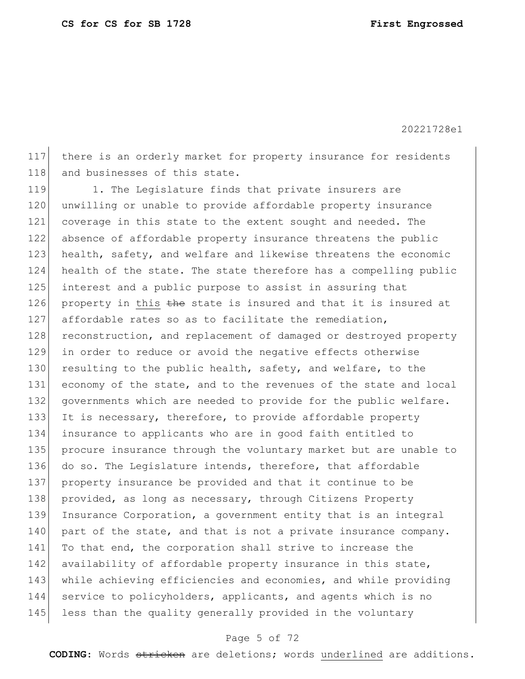117 there is an orderly market for property insurance for residents 118 and businesses of this state.

119 1. The Legislature finds that private insurers are 120 unwilling or unable to provide affordable property insurance 121 coverage in this state to the extent sought and needed. The 122 absence of affordable property insurance threatens the public 123 health, safety, and welfare and likewise threatens the economic 124 health of the state. The state therefore has a compelling public 125 interest and a public purpose to assist in assuring that 126 property in this the state is insured and that it is insured at 127 affordable rates so as to facilitate the remediation, 128 reconstruction, and replacement of damaged or destroyed property 129 in order to reduce or avoid the negative effects otherwise 130 resulting to the public health, safety, and welfare, to the 131| economy of the state, and to the revenues of the state and local 132 governments which are needed to provide for the public welfare. 133 It is necessary, therefore, to provide affordable property 134 insurance to applicants who are in good faith entitled to 135 procure insurance through the voluntary market but are unable to 136 do so. The Legislature intends, therefore, that affordable 137 property insurance be provided and that it continue to be 138 provided, as long as necessary, through Citizens Property 139 Insurance Corporation, a government entity that is an integral 140 part of the state, and that is not a private insurance company. 141 To that end, the corporation shall strive to increase the 142 availability of affordable property insurance in this state, 143 while achieving efficiencies and economies, and while providing 144 service to policyholders, applicants, and agents which is no 145 less than the quality generally provided in the voluntary

#### Page 5 of 72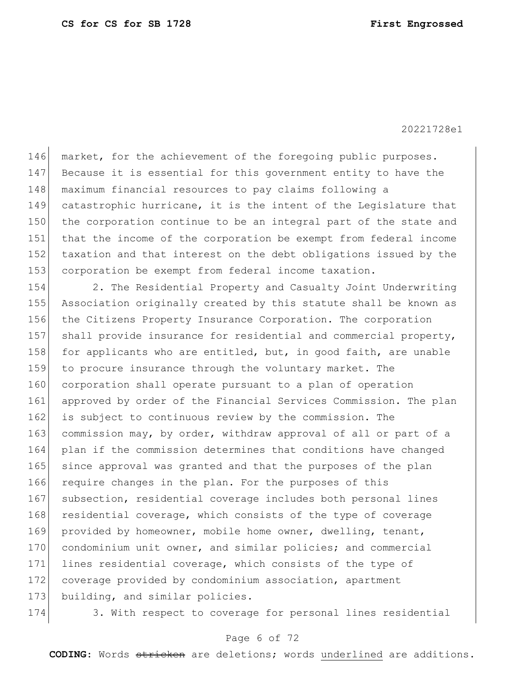146 market, for the achievement of the foregoing public purposes. 147 Because it is essential for this government entity to have the 148 maximum financial resources to pay claims following a 149 catastrophic hurricane, it is the intent of the Legislature that 150 the corporation continue to be an integral part of the state and 151 that the income of the corporation be exempt from federal income 152 taxation and that interest on the debt obligations issued by the 153 corporation be exempt from federal income taxation.

154 2. The Residential Property and Casualty Joint Underwriting 155 Association originally created by this statute shall be known as 156 | the Citizens Property Insurance Corporation. The corporation 157 shall provide insurance for residential and commercial property, 158 for applicants who are entitled, but, in good faith, are unable 159 to procure insurance through the voluntary market. The 160 corporation shall operate pursuant to a plan of operation 161 approved by order of the Financial Services Commission. The plan 162 is subject to continuous review by the commission. The 163 commission may, by order, withdraw approval of all or part of a 164 plan if the commission determines that conditions have changed 165 since approval was granted and that the purposes of the plan 166 require changes in the plan. For the purposes of this 167 subsection, residential coverage includes both personal lines 168 residential coverage, which consists of the type of coverage 169 provided by homeowner, mobile home owner, dwelling, tenant, 170 condominium unit owner, and similar policies; and commercial 171 lines residential coverage, which consists of the type of 172 coverage provided by condominium association, apartment 173 building, and similar policies.

174 3. With respect to coverage for personal lines residential

## Page 6 of 72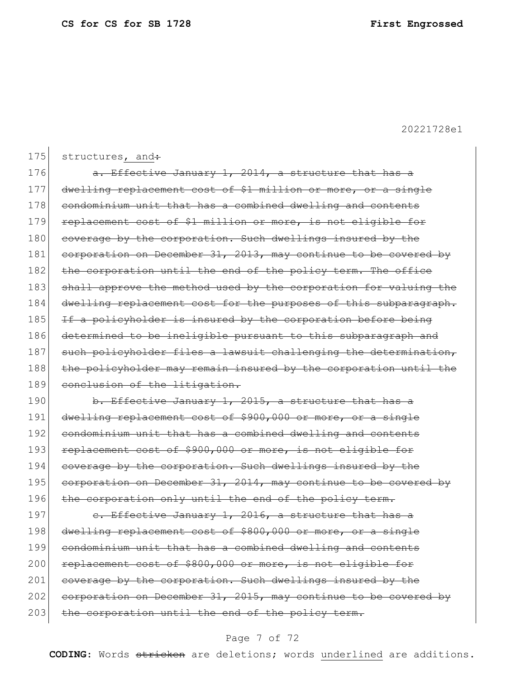175 structures, and: 176  $\vert$  a. Effective January 1, 2014, a structure that has a 177 dwelling replacement cost of \$1 million or more, or a single 178 condominium unit that has a combined dwelling and contents 179 replacement cost of \$1 million or more, is not eligible for 180 coverage by the corporation. Such dwellings insured by the 181 corporation on December 31, 2013, may continue to be covered by 182 the corporation until the end of the policy term. The office 183 shall approve the method used by the corporation for valuing the 184 dwelling replacement cost for the purposes of this subparagraph. 185 If a policyholder is insured by the corporation before being 186 determined to be ineligible pursuant to this subparagraph and 187 such policyholder files a lawsuit challenging the determination, 188 the policyholder may remain insured by the corporation until the 189 conclusion of the litigation. 190 b. Effective January 1, 2015, a structure that has a 191 dwelling replacement cost of \$900,000 or more, or a single 192 condominium unit that has a combined dwelling and contents 193 replacement cost of \$900,000 or more, is not eligible for 194 coverage by the corporation. Such dwellings insured by the 195 corporation on December 31, 2014, may continue to be covered by 196 the corporation only until the end of the policy term. 197  $\vert$  e. Effective January 1, 2016, a structure that has a 198 dwelling replacement cost of \$800,000 or more, or a single 199 condominium unit that has a combined dwelling and contents

200 replacement cost of \$800,000 or more, is not eligible for 201 coverage by the corporation. Such dwellings insured by the 202 corporation on December  $31, 2015$ , may continue to be covered by 203 the corporation until the end of the policy term.

#### Page 7 of 72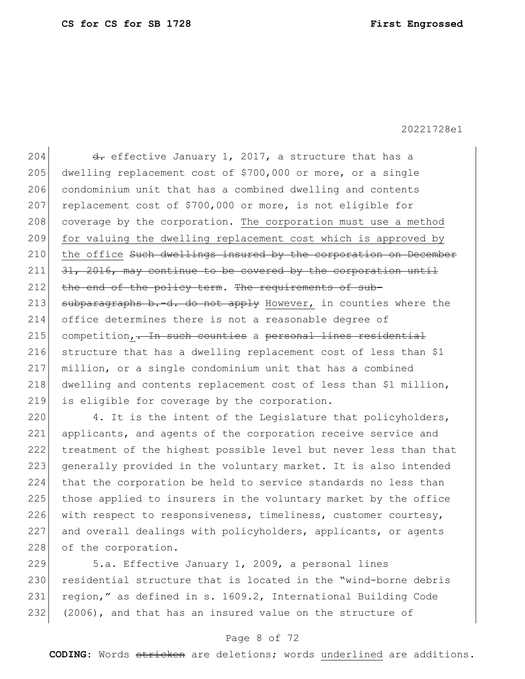204  $\frac{d}{dx}$  effective January 1, 2017, a structure that has a 205 dwelling replacement cost of \$700,000 or more, or a single 206 condominium unit that has a combined dwelling and contents 207 replacement cost of \$700,000 or more, is not eligible for 208 coverage by the corporation. The corporation must use a method 209 for valuing the dwelling replacement cost which is approved by 210 the office Such dwellings insured by the corporation on December  $211$  31, 2016, may continue to be covered by the corporation until 212 the end of the policy term. The requirements of sub-213 subparagraphs b.-d. do not apply However, in counties where the 214 office determines there is not a reasonable degree of  $215$  competition,  $\overline{z}$  in such counties a personal lines residential 216 structure that has a dwelling replacement cost of less than \$1 217 million, or a single condominium unit that has a combined 218 dwelling and contents replacement cost of less than \$1 million, 219 is eligible for coverage by the corporation.

220 4. It is the intent of the Legislature that policyholders, 221 applicants, and agents of the corporation receive service and 222 treatment of the highest possible level but never less than that 223 generally provided in the voluntary market. It is also intended 224 that the corporation be held to service standards no less than 225 those applied to insurers in the voluntary market by the office 226 | with respect to responsiveness, timeliness, customer courtesy, 227 and overall dealings with policyholders, applicants, or agents 228 of the corporation.

229 5.a. Effective January 1, 2009, a personal lines 230 residential structure that is located in the "wind-borne debris 231 region," as defined in s. 1609.2, International Building Code 232 (2006), and that has an insured value on the structure of

# Page 8 of 72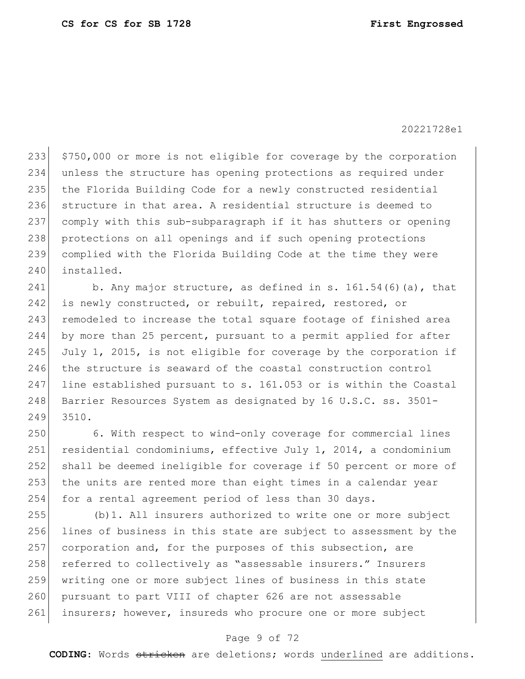\$750,000 or more is not eligible for coverage by the corporation unless the structure has opening protections as required under 235 the Florida Building Code for a newly constructed residential structure in that area. A residential structure is deemed to comply with this sub-subparagraph if it has shutters or opening 238 protections on all openings and if such opening protections complied with the Florida Building Code at the time they were 240 installed.

241 b. Any major structure, as defined in s.  $161.54(6)(a)$ , that 242 is newly constructed, or rebuilt, repaired, restored, or 243 remodeled to increase the total square footage of finished area 244 by more than 25 percent, pursuant to a permit applied for after 245 July 1, 2015, is not eligible for coverage by the corporation if 246 the structure is seaward of the coastal construction control 247 line established pursuant to s. 161.053 or is within the Coastal 248 Barrier Resources System as designated by 16 U.S.C. ss. 3501-249 3510.

250 6. With respect to wind-only coverage for commercial lines 251 residential condominiums, effective July 1, 2014, a condominium 252 shall be deemed ineligible for coverage if 50 percent or more of 253 the units are rented more than eight times in a calendar year 254 for a rental agreement period of less than 30 days.

255 (b)1. All insurers authorized to write one or more subject 256 lines of business in this state are subject to assessment by the 257 corporation and, for the purposes of this subsection, are 258 referred to collectively as "assessable insurers." Insurers 259 writing one or more subject lines of business in this state 260 pursuant to part VIII of chapter 626 are not assessable 261 insurers; however, insureds who procure one or more subject

#### Page 9 of 72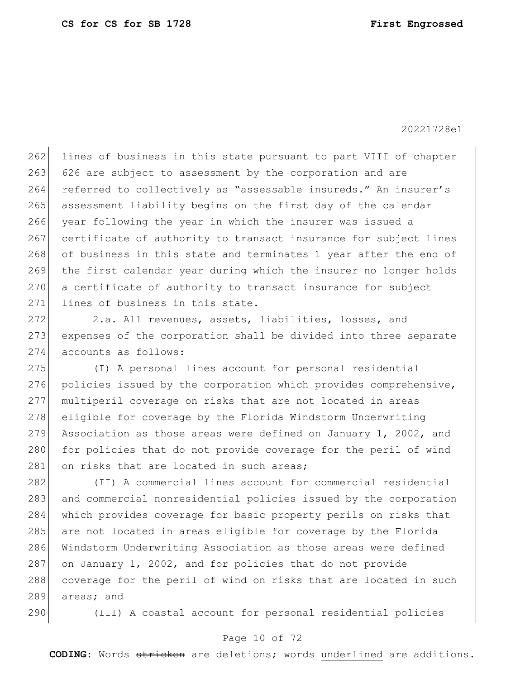262 lines of business in this state pursuant to part VIII of chapter 263 626 are subject to assessment by the corporation and are 264 referred to collectively as "assessable insureds." An insurer's 265 assessment liability begins on the first day of the calendar 266 year following the year in which the insurer was issued a 267 certificate of authority to transact insurance for subject lines 268 of business in this state and terminates 1 year after the end of 269 the first calendar year during which the insurer no longer holds 270 a certificate of authority to transact insurance for subject 271 lines of business in this state.

272 2.a. All revenues, assets, liabilities, losses, and 273 expenses of the corporation shall be divided into three separate 274 accounts as follows:

275 (I) A personal lines account for personal residential 276 policies issued by the corporation which provides comprehensive, 277 multiperil coverage on risks that are not located in areas 278 eligible for coverage by the Florida Windstorm Underwriting 279 Association as those areas were defined on January 1, 2002, and 280 for policies that do not provide coverage for the peril of wind 281 on risks that are located in such areas;

 (II) A commercial lines account for commercial residential and commercial nonresidential policies issued by the corporation which provides coverage for basic property perils on risks that 285 are not located in areas eligible for coverage by the Florida Windstorm Underwriting Association as those areas were defined on January 1, 2002, and for policies that do not provide 288 coverage for the peril of wind on risks that are located in such areas; and

290 (III) A coastal account for personal residential policies

# Page 10 of 72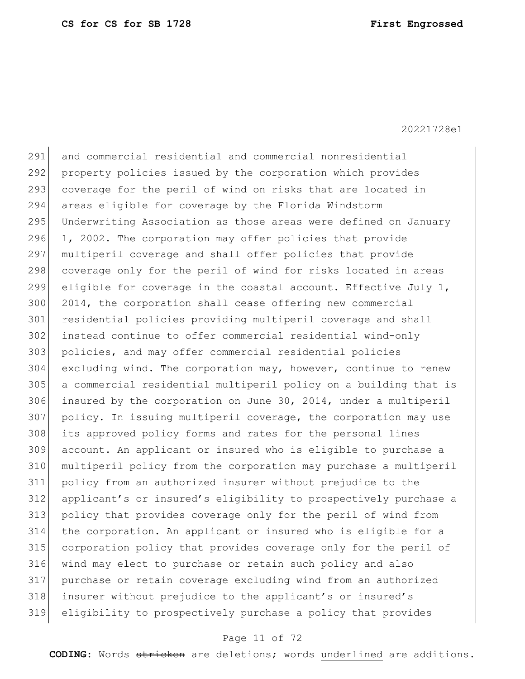and commercial residential and commercial nonresidential property policies issued by the corporation which provides 293 coverage for the peril of wind on risks that are located in areas eligible for coverage by the Florida Windstorm Underwriting Association as those areas were defined on January 296 1, 2002. The corporation may offer policies that provide 297 multiperil coverage and shall offer policies that provide 298 coverage only for the peril of wind for risks located in areas 299 eligible for coverage in the coastal account. Effective July 1, 2014, the corporation shall cease offering new commercial residential policies providing multiperil coverage and shall instead continue to offer commercial residential wind-only policies, and may offer commercial residential policies excluding wind. The corporation may, however, continue to renew a commercial residential multiperil policy on a building that is insured by the corporation on June 30, 2014, under a multiperil policy. In issuing multiperil coverage, the corporation may use its approved policy forms and rates for the personal lines account. An applicant or insured who is eligible to purchase a multiperil policy from the corporation may purchase a multiperil policy from an authorized insurer without prejudice to the applicant's or insured's eligibility to prospectively purchase a policy that provides coverage only for the peril of wind from the corporation. An applicant or insured who is eligible for a corporation policy that provides coverage only for the peril of wind may elect to purchase or retain such policy and also purchase or retain coverage excluding wind from an authorized insurer without prejudice to the applicant's or insured's eligibility to prospectively purchase a policy that provides

#### Page 11 of 72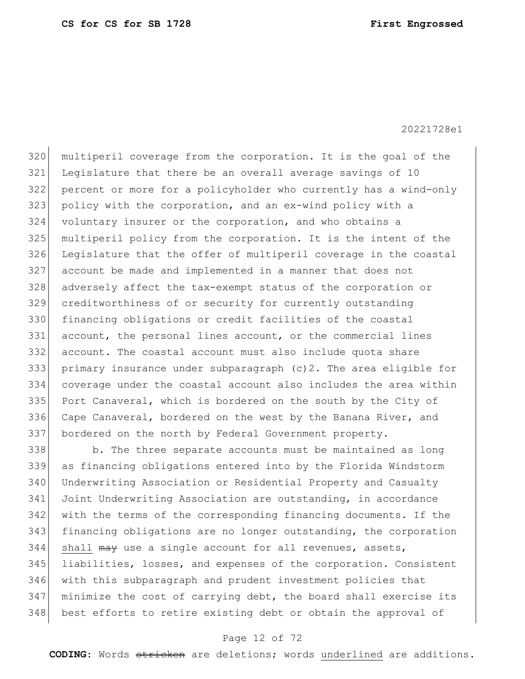multiperil coverage from the corporation. It is the goal of the Legislature that there be an overall average savings of 10 percent or more for a policyholder who currently has a wind-only policy with the corporation, and an ex-wind policy with a voluntary insurer or the corporation, and who obtains a multiperil policy from the corporation. It is the intent of the Legislature that the offer of multiperil coverage in the coastal account be made and implemented in a manner that does not adversely affect the tax-exempt status of the corporation or creditworthiness of or security for currently outstanding financing obligations or credit facilities of the coastal account, the personal lines account, or the commercial lines 332 account. The coastal account must also include quota share primary insurance under subparagraph (c)2. The area eligible for coverage under the coastal account also includes the area within Port Canaveral, which is bordered on the south by the City of 336 Cape Canaveral, bordered on the west by the Banana River, and 337 bordered on the north by Federal Government property.

338 b. The three separate accounts must be maintained as long as financing obligations entered into by the Florida Windstorm Underwriting Association or Residential Property and Casualty Joint Underwriting Association are outstanding, in accordance with the terms of the corresponding financing documents. If the financing obligations are no longer outstanding, the corporation shall may use a single account for all revenues, assets, liabilities, losses, and expenses of the corporation. Consistent with this subparagraph and prudent investment policies that minimize the cost of carrying debt, the board shall exercise its 348 best efforts to retire existing debt or obtain the approval of

# Page 12 of 72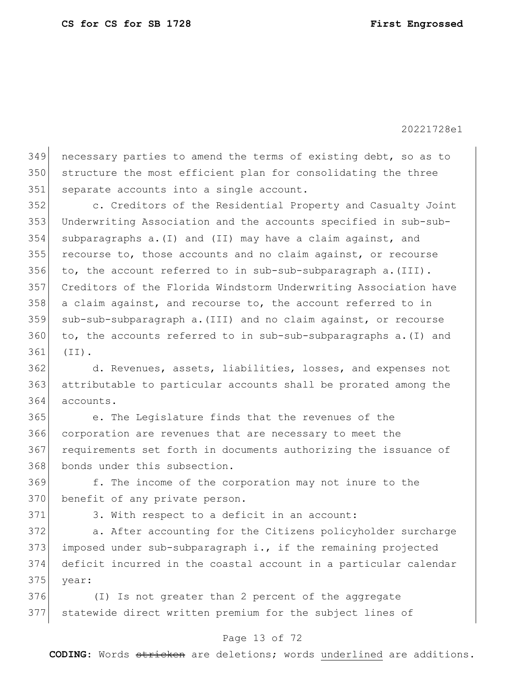349 necessary parties to amend the terms of existing debt, so as to structure the most efficient plan for consolidating the three 351 separate accounts into a single account.

 c. Creditors of the Residential Property and Casualty Joint Underwriting Association and the accounts specified in sub-sub-354 subparagraphs  $a.(I)$  and (II) may have a claim against, and 355 recourse to, those accounts and no claim against, or recourse 356 to, the account referred to in sub-sub-subparagraph  $a \cdot (III)$ . Creditors of the Florida Windstorm Underwriting Association have a claim against, and recourse to, the account referred to in 359 sub-sub-subparagraph a. (III) and no claim against, or recourse to, the accounts referred to in sub-sub-subparagraphs a. (I) and (II).

 d. Revenues, assets, liabilities, losses, and expenses not attributable to particular accounts shall be prorated among the accounts.

 e. The Legislature finds that the revenues of the corporation are revenues that are necessary to meet the requirements set forth in documents authorizing the issuance of 368 bonds under this subsection.

 f. The income of the corporation may not inure to the 370 benefit of any private person.

371 3. With respect to a deficit in an account:

 a. After accounting for the Citizens policyholder surcharge imposed under sub-subparagraph i., if the remaining projected deficit incurred in the coastal account in a particular calendar year:

 (I) Is not greater than 2 percent of the aggregate statewide direct written premium for the subject lines of

# Page 13 of 72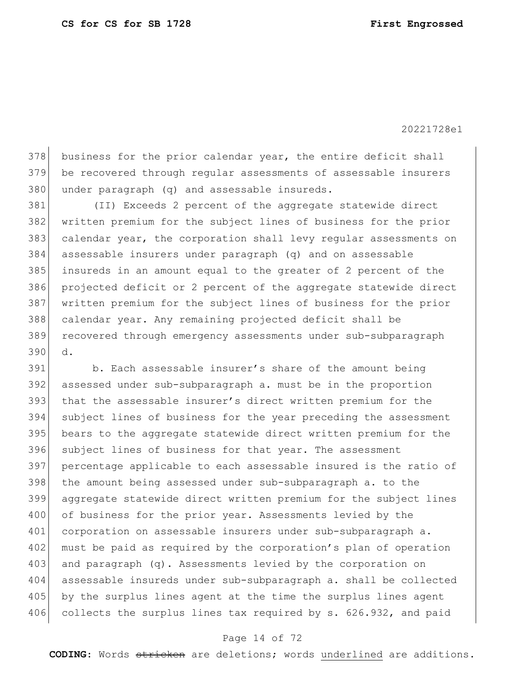378 business for the prior calendar year, the entire deficit shall be recovered through regular assessments of assessable insurers under paragraph (q) and assessable insureds.

 (II) Exceeds 2 percent of the aggregate statewide direct written premium for the subject lines of business for the prior calendar year, the corporation shall levy regular assessments on assessable insurers under paragraph (q) and on assessable insureds in an amount equal to the greater of 2 percent of the projected deficit or 2 percent of the aggregate statewide direct written premium for the subject lines of business for the prior calendar year. Any remaining projected deficit shall be recovered through emergency assessments under sub-subparagraph d.

 b. Each assessable insurer's share of the amount being 392 assessed under sub-subparagraph a. must be in the proportion that the assessable insurer's direct written premium for the subject lines of business for the year preceding the assessment bears to the aggregate statewide direct written premium for the 396 subject lines of business for that year. The assessment percentage applicable to each assessable insured is the ratio of 398 the amount being assessed under sub-subparagraph a. to the aggregate statewide direct written premium for the subject lines 400 of business for the prior year. Assessments levied by the 401 corporation on assessable insurers under sub-subparagraph a. 402 must be paid as required by the corporation's plan of operation and paragraph (q). Assessments levied by the corporation on assessable insureds under sub-subparagraph a. shall be collected 405 by the surplus lines agent at the time the surplus lines agent 406 collects the surplus lines tax required by s. 626.932, and paid

#### Page 14 of 72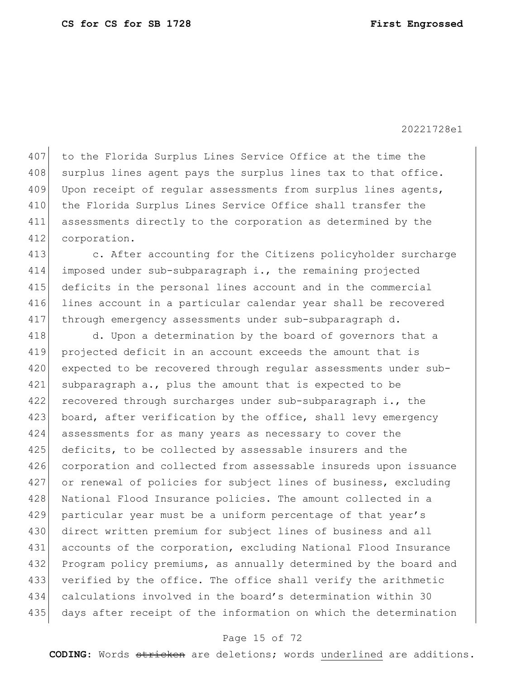407 to the Florida Surplus Lines Service Office at the time the 408 surplus lines agent pays the surplus lines tax to that office. 409 Upon receipt of regular assessments from surplus lines agents, 410 the Florida Surplus Lines Service Office shall transfer the 411 assessments directly to the corporation as determined by the 412 corporation.

**dege** c. After accounting for the Citizens policyholder surcharge imposed under sub-subparagraph i., the remaining projected deficits in the personal lines account and in the commercial lines account in a particular calendar year shall be recovered through emergency assessments under sub-subparagraph d.

418 d. Upon a determination by the board of governors that a 419 projected deficit in an account exceeds the amount that is 420 expected to be recovered through regular assessments under sub-421 subparagraph a., plus the amount that is expected to be 422 recovered through surcharges under sub-subparagraph i., the 423 board, after verification by the office, shall levy emergency 424 assessments for as many years as necessary to cover the 425 deficits, to be collected by assessable insurers and the 426 corporation and collected from assessable insureds upon issuance 427 or renewal of policies for subject lines of business, excluding 428 National Flood Insurance policies. The amount collected in a 429 particular year must be a uniform percentage of that year's 430 direct written premium for subject lines of business and all 431 accounts of the corporation, excluding National Flood Insurance 432 Program policy premiums, as annually determined by the board and 433 verified by the office. The office shall verify the arithmetic 434 calculations involved in the board's determination within 30 435 days after receipt of the information on which the determination

# Page 15 of 72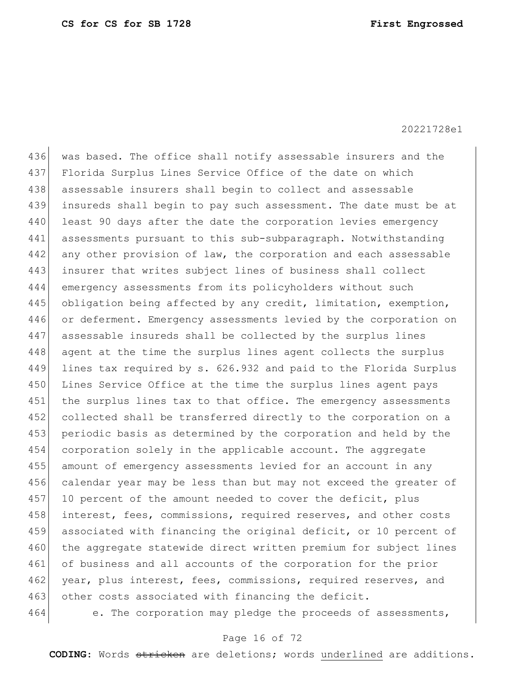436 was based. The office shall notify assessable insurers and the 437 Florida Surplus Lines Service Office of the date on which 438 assessable insurers shall begin to collect and assessable 439 insureds shall begin to pay such assessment. The date must be at 440 least 90 days after the date the corporation levies emergency 441 assessments pursuant to this sub-subparagraph. Notwithstanding 442 any other provision of law, the corporation and each assessable 443 insurer that writes subject lines of business shall collect 444 emergency assessments from its policyholders without such 445 obligation being affected by any credit, limitation, exemption, 446 or deferment. Emergency assessments levied by the corporation on 447 assessable insureds shall be collected by the surplus lines 448 agent at the time the surplus lines agent collects the surplus 449 lines tax required by s. 626.932 and paid to the Florida Surplus 450 Lines Service Office at the time the surplus lines agent pays 451 the surplus lines tax to that office. The emergency assessments 452 collected shall be transferred directly to the corporation on a 453 periodic basis as determined by the corporation and held by the 454 corporation solely in the applicable account. The aggregate 455 amount of emergency assessments levied for an account in any 456 calendar year may be less than but may not exceed the greater of 457 10 percent of the amount needed to cover the deficit, plus 458 interest, fees, commissions, required reserves, and other costs 459 associated with financing the original deficit, or 10 percent of 460 the aggregate statewide direct written premium for subject lines 461 of business and all accounts of the corporation for the prior 462 year, plus interest, fees, commissions, required reserves, and 463 other costs associated with financing the deficit. 464 e. The corporation may pledge the proceeds of assessments,

#### Page 16 of 72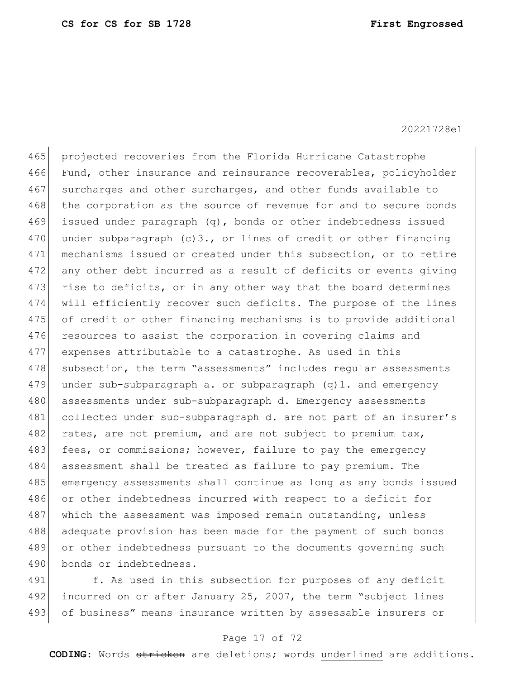465 projected recoveries from the Florida Hurricane Catastrophe 466 Fund, other insurance and reinsurance recoverables, policyholder 467 surcharges and other surcharges, and other funds available to 468 the corporation as the source of revenue for and to secure bonds 469 issued under paragraph (q), bonds or other indebtedness issued 470 under subparagraph  $(c)$ 3., or lines of credit or other financing 471 mechanisms issued or created under this subsection, or to retire 472 any other debt incurred as a result of deficits or events giving 473 rise to deficits, or in any other way that the board determines 474 will efficiently recover such deficits. The purpose of the lines 475 of credit or other financing mechanisms is to provide additional 476 resources to assist the corporation in covering claims and 477 expenses attributable to a catastrophe. As used in this 478 subsection, the term "assessments" includes reqular assessments 479 under sub-subparagraph a. or subparagraph  $(q)1$ . and emergency 480 assessments under sub-subparagraph d. Emergency assessments 481 collected under sub-subparagraph d. are not part of an insurer's 482 rates, are not premium, and are not subject to premium tax, 483 fees, or commissions; however, failure to pay the emergency 484 assessment shall be treated as failure to pay premium. The 485 emergency assessments shall continue as long as any bonds issued 486 or other indebtedness incurred with respect to a deficit for 487 which the assessment was imposed remain outstanding, unless 488 adequate provision has been made for the payment of such bonds 489 or other indebtedness pursuant to the documents governing such 490 bonds or indebtedness.

491 f. As used in this subsection for purposes of any deficit 492 incurred on or after January 25, 2007, the term "subject lines 493 of business" means insurance written by assessable insurers or

#### Page 17 of 72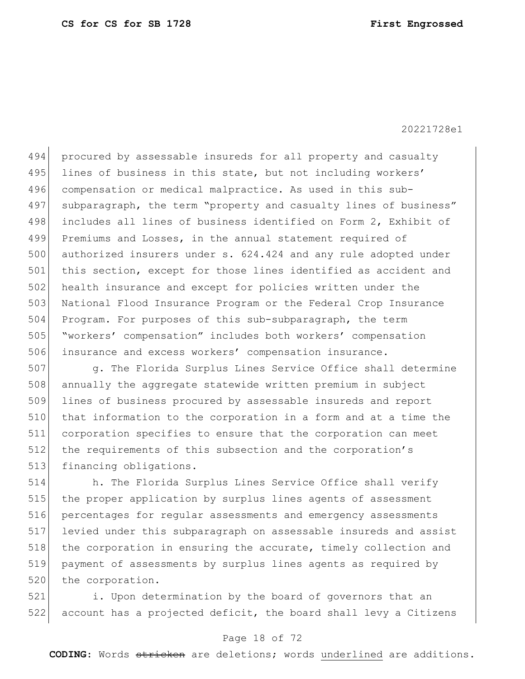494 procured by assessable insureds for all property and casualty 495 lines of business in this state, but not including workers' 496 compensation or medical malpractice. As used in this sub-497 subparagraph, the term "property and casualty lines of business" 498 includes all lines of business identified on Form 2, Exhibit of 499 Premiums and Losses, in the annual statement required of 500 authorized insurers under s. 624.424 and any rule adopted under 501 this section, except for those lines identified as accident and 502 health insurance and except for policies written under the 503 National Flood Insurance Program or the Federal Crop Insurance 504 Program. For purposes of this sub-subparagraph, the term 505 | "workers' compensation" includes both workers' compensation 506 insurance and excess workers' compensation insurance.

507 g. The Florida Surplus Lines Service Office shall determine 508 annually the aggregate statewide written premium in subject 509 lines of business procured by assessable insureds and report 510 that information to the corporation in a form and at a time the 511 corporation specifies to ensure that the corporation can meet 512 the requirements of this subsection and the corporation's 513 financing obligations.

 h. The Florida Surplus Lines Service Office shall verify the proper application by surplus lines agents of assessment percentages for regular assessments and emergency assessments levied under this subparagraph on assessable insureds and assist 518 | the corporation in ensuring the accurate, timely collection and payment of assessments by surplus lines agents as required by 520 the corporation.

521 i. Upon determination by the board of governors that an 522 account has a projected deficit, the board shall levy a Citizens

## Page 18 of 72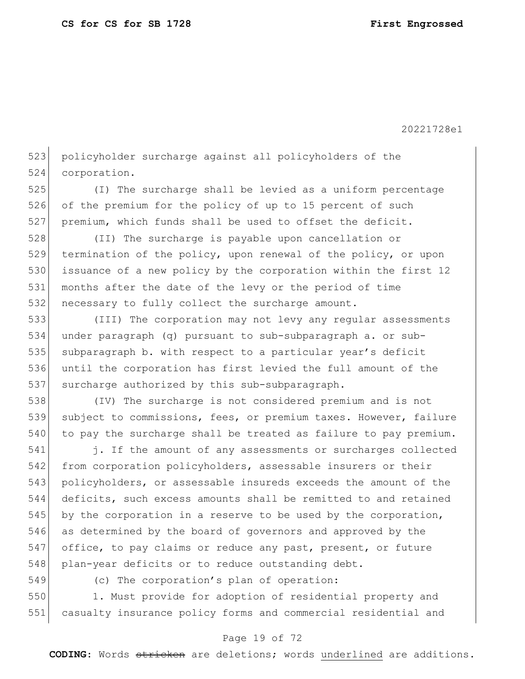523 policyholder surcharge against all policyholders of the 524 corporation.

525 (I) The surcharge shall be levied as a uniform percentage 526 of the premium for the policy of up to 15 percent of such 527 premium, which funds shall be used to offset the deficit.

 (II) The surcharge is payable upon cancellation or 529 termination of the policy, upon renewal of the policy, or upon issuance of a new policy by the corporation within the first 12 months after the date of the levy or the period of time necessary to fully collect the surcharge amount.

533 (III) The corporation may not levy any regular assessments 534 under paragraph (q) pursuant to sub-subparagraph a. or sub-535 subparagraph b. with respect to a particular year's deficit 536 until the corporation has first levied the full amount of the 537 surcharge authorized by this sub-subparagraph.

538 (IV) The surcharge is not considered premium and is not 539 subject to commissions, fees, or premium taxes. However, failure  $540$  to pay the surcharge shall be treated as failure to pay premium.

**j.** If the amount of any assessments or surcharges collected 542 from corporation policyholders, assessable insurers or their policyholders, or assessable insureds exceeds the amount of the deficits, such excess amounts shall be remitted to and retained 545 by the corporation in a reserve to be used by the corporation, as determined by the board of governors and approved by the office, to pay claims or reduce any past, present, or future 548 plan-year deficits or to reduce outstanding debt.

549 (c) The corporation's plan of operation:

550 1. Must provide for adoption of residential property and 551 casualty insurance policy forms and commercial residential and

# Page 19 of 72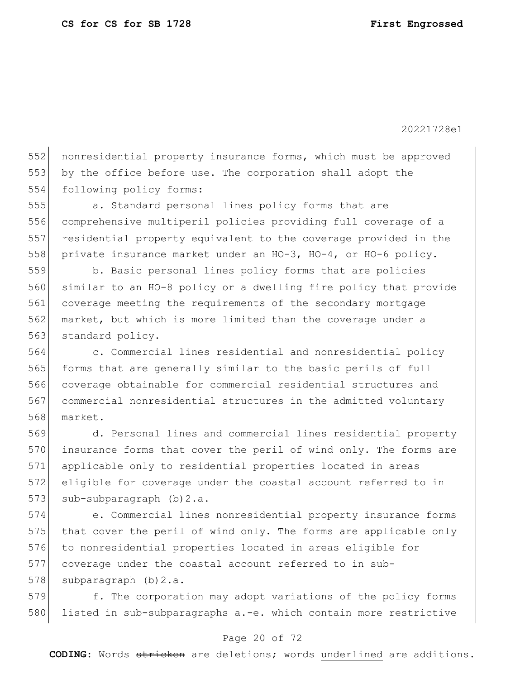552 nonresidential property insurance forms, which must be approved by the office before use. The corporation shall adopt the 554 following policy forms:

 a. Standard personal lines policy forms that are comprehensive multiperil policies providing full coverage of a residential property equivalent to the coverage provided in the private insurance market under an HO-3, HO-4, or HO-6 policy.

 b. Basic personal lines policy forms that are policies similar to an HO-8 policy or a dwelling fire policy that provide coverage meeting the requirements of the secondary mortgage market, but which is more limited than the coverage under a 563 standard policy.

 c. Commercial lines residential and nonresidential policy forms that are generally similar to the basic perils of full coverage obtainable for commercial residential structures and commercial nonresidential structures in the admitted voluntary market.

 d. Personal lines and commercial lines residential property insurance forms that cover the peril of wind only. The forms are applicable only to residential properties located in areas eligible for coverage under the coastal account referred to in 573 sub-subparagraph (b) 2.a.

 e. Commercial lines nonresidential property insurance forms 575 that cover the peril of wind only. The forms are applicable only to nonresidential properties located in areas eligible for coverage under the coastal account referred to in sub-578 subparagraph  $(b) 2.a.$ 

579 f. The corporation may adopt variations of the policy forms 580 listed in sub-subparagraphs a.-e. which contain more restrictive

#### Page 20 of 72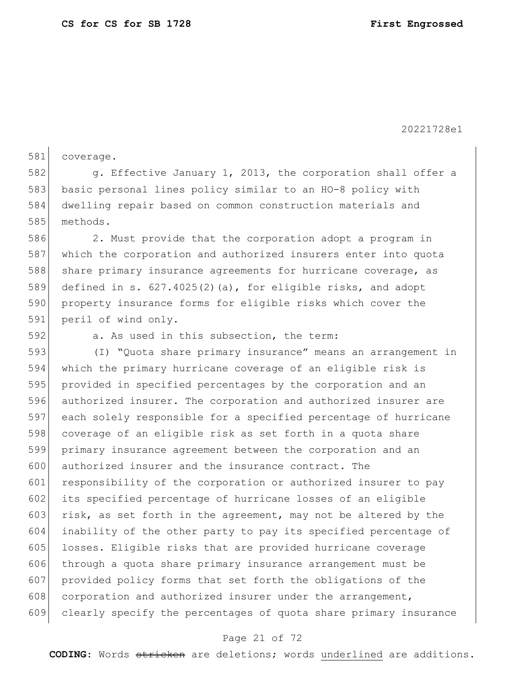581 coverage. 582 g. Effective January 1, 2013, the corporation shall offer a basic personal lines policy similar to an HO-8 policy with dwelling repair based on common construction materials and methods. 2. Must provide that the corporation adopt a program in 587 which the corporation and authorized insurers enter into quota 588 share primary insurance agreements for hurricane coverage, as defined in s. 627.4025(2)(a), for eligible risks, and adopt property insurance forms for eligible risks which cover the peril of wind only. 592 a. As used in this subsection, the term: (I) "Quota share primary insurance" means an arrangement in which the primary hurricane coverage of an eligible risk is provided in specified percentages by the corporation and an authorized insurer. The corporation and authorized insurer are each solely responsible for a specified percentage of hurricane 598 coverage of an eligible risk as set forth in a quota share primary insurance agreement between the corporation and an authorized insurer and the insurance contract. The 601 responsibility of the corporation or authorized insurer to pay its specified percentage of hurricane losses of an eligible 603 risk, as set forth in the agreement, may not be altered by the inability of the other party to pay its specified percentage of losses. Eligible risks that are provided hurricane coverage through a quota share primary insurance arrangement must be 607 provided policy forms that set forth the obligations of the corporation and authorized insurer under the arrangement, clearly specify the percentages of quota share primary insurance

## Page 21 of 72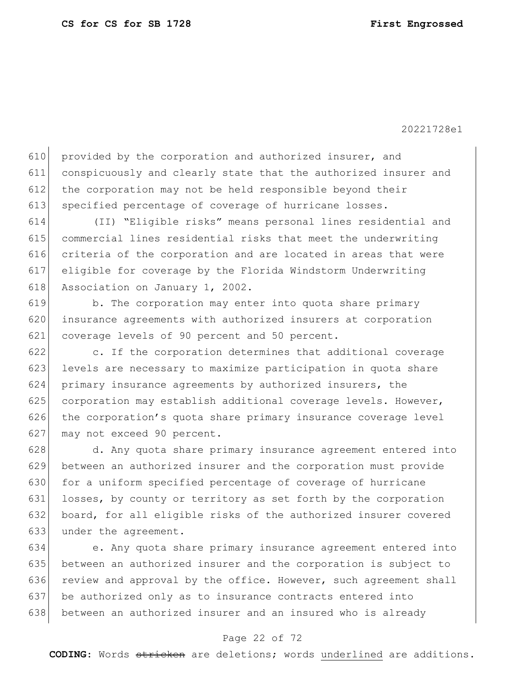610 provided by the corporation and authorized insurer, and 611 conspicuously and clearly state that the authorized insurer and 612 the corporation may not be held responsible beyond their 613 specified percentage of coverage of hurricane losses.

 (II) "Eligible risks" means personal lines residential and commercial lines residential risks that meet the underwriting criteria of the corporation and are located in areas that were eligible for coverage by the Florida Windstorm Underwriting 618 Association on January 1, 2002.

619 b. The corporation may enter into quota share primary 620 insurance agreements with authorized insurers at corporation 621 coverage levels of 90 percent and 50 percent.

622 c. If the corporation determines that additional coverage 623 levels are necessary to maximize participation in quota share 624 primary insurance agreements by authorized insurers, the 625 corporation may establish additional coverage levels. However, 626 the corporation's quota share primary insurance coverage level 627 may not exceed 90 percent.

628 d. Any quota share primary insurance agreement entered into 629 between an authorized insurer and the corporation must provide 630 for a uniform specified percentage of coverage of hurricane 631 losses, by county or territory as set forth by the corporation 632 board, for all eligible risks of the authorized insurer covered 633 under the agreement.

634 e. Any quota share primary insurance agreement entered into 635 between an authorized insurer and the corporation is subject to 636 review and approval by the office. However, such agreement shall 637 be authorized only as to insurance contracts entered into 638 between an authorized insurer and an insured who is already

#### Page 22 of 72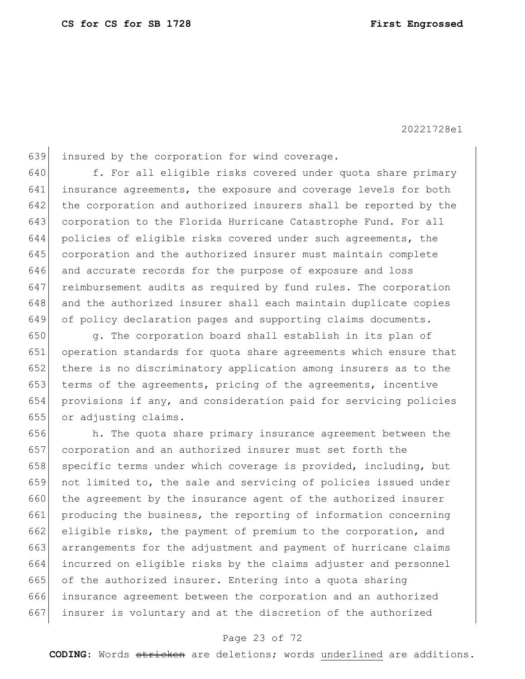639 insured by the corporation for wind coverage.

640 f. For all eligible risks covered under quota share primary insurance agreements, the exposure and coverage levels for both the corporation and authorized insurers shall be reported by the 643 corporation to the Florida Hurricane Catastrophe Fund. For all policies of eligible risks covered under such agreements, the corporation and the authorized insurer must maintain complete and accurate records for the purpose of exposure and loss reimbursement audits as required by fund rules. The corporation 648 and the authorized insurer shall each maintain duplicate copies of policy declaration pages and supporting claims documents.

650 g. The corporation board shall establish in its plan of operation standards for quota share agreements which ensure that 652 there is no discriminatory application among insurers as to the terms of the agreements, pricing of the agreements, incentive provisions if any, and consideration paid for servicing policies or adjusting claims.

656 h. The quota share primary insurance agreement between the 657 corporation and an authorized insurer must set forth the 658 | specific terms under which coverage is provided, including, but 659 not limited to, the sale and servicing of policies issued under 660 the agreement by the insurance agent of the authorized insurer 661 producing the business, the reporting of information concerning 662 eligible risks, the payment of premium to the corporation, and 663 arrangements for the adjustment and payment of hurricane claims 664 incurred on eligible risks by the claims adjuster and personnel 665 of the authorized insurer. Entering into a quota sharing 666 insurance agreement between the corporation and an authorized 667 insurer is voluntary and at the discretion of the authorized

#### Page 23 of 72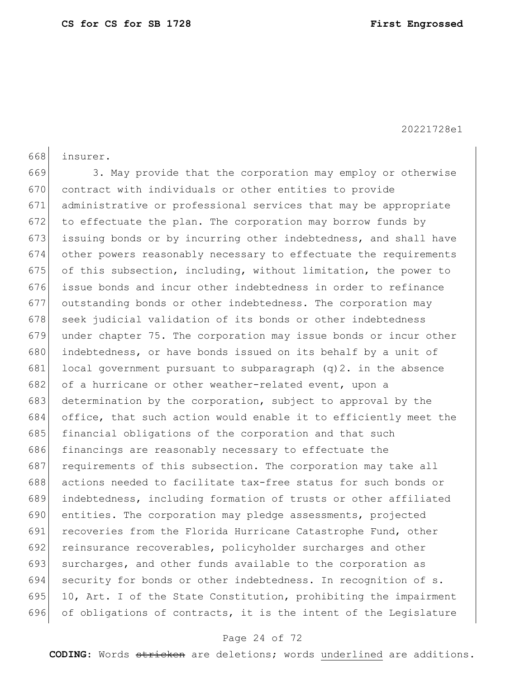668 insurer. 669 3. May provide that the corporation may employ or otherwise 670 contract with individuals or other entities to provide 671 administrative or professional services that may be appropriate  $672$  to effectuate the plan. The corporation may borrow funds by 673 issuing bonds or by incurring other indebtedness, and shall have 674 other powers reasonably necessary to effectuate the requirements 675 of this subsection, including, without limitation, the power to 676 issue bonds and incur other indebtedness in order to refinance 677 outstanding bonds or other indebtedness. The corporation may 678 seek judicial validation of its bonds or other indebtedness 679 under chapter 75. The corporation may issue bonds or incur other 680 indebtedness, or have bonds issued on its behalf by a unit of 681 local government pursuant to subparagraph  $(q)$ 2. in the absence 682 of a hurricane or other weather-related event, upon a 683 determination by the corporation, subject to approval by the 684 office, that such action would enable it to efficiently meet the 685 financial obligations of the corporation and that such 686 financings are reasonably necessary to effectuate the 687 requirements of this subsection. The corporation may take all 688 actions needed to facilitate tax-free status for such bonds or 689 indebtedness, including formation of trusts or other affiliated 690 entities. The corporation may pledge assessments, projected 691 recoveries from the Florida Hurricane Catastrophe Fund, other 692 reinsurance recoverables, policyholder surcharges and other 693 surcharges, and other funds available to the corporation as 694 security for bonds or other indebtedness. In recognition of s. 695 10, Art. I of the State Constitution, prohibiting the impairment  $696$  of obligations of contracts, it is the intent of the Legislature

#### Page 24 of 72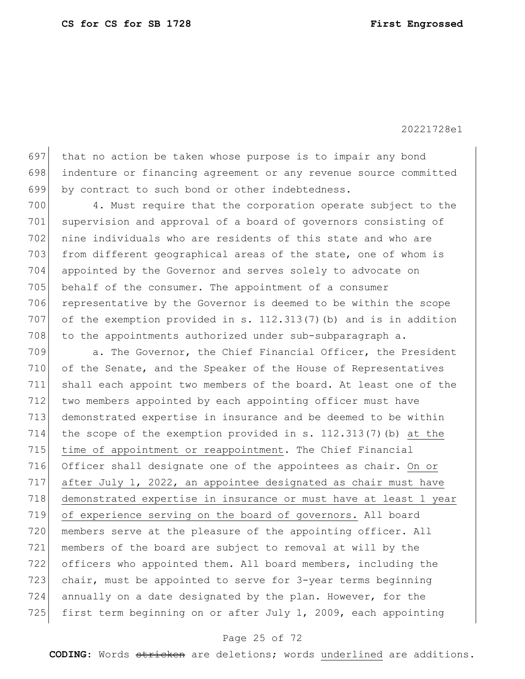697 that no action be taken whose purpose is to impair any bond 698 indenture or financing agreement or any revenue source committed 699 by contract to such bond or other indebtedness.

700 4. Must require that the corporation operate subject to the 701 supervision and approval of a board of governors consisting of 702 nine individuals who are residents of this state and who are 703 from different geographical areas of the state, one of whom is 704 appointed by the Governor and serves solely to advocate on 705 behalf of the consumer. The appointment of a consumer 706 representative by the Governor is deemed to be within the scope 707 of the exemption provided in s. 112.313(7)(b) and is in addition  $708$  to the appointments authorized under sub-subparagraph a.

**a.** The Governor, the Chief Financial Officer, the President of the Senate, and the Speaker of the House of Representatives shall each appoint two members of the board. At least one of the 712 two members appointed by each appointing officer must have demonstrated expertise in insurance and be deemed to be within the scope of the exemption provided in s. 112.313(7)(b) at the time of appointment or reappointment. The Chief Financial 716 Officer shall designate one of the appointees as chair. On or after July 1, 2022, an appointee designated as chair must have demonstrated expertise in insurance or must have at least 1 year of experience serving on the board of governors. All board 720 members serve at the pleasure of the appointing officer. All members of the board are subject to removal at will by the officers who appointed them. All board members, including the chair, must be appointed to serve for 3-year terms beginning annually on a date designated by the plan. However, for the 725 first term beginning on or after July 1, 2009, each appointing

Page 25 of 72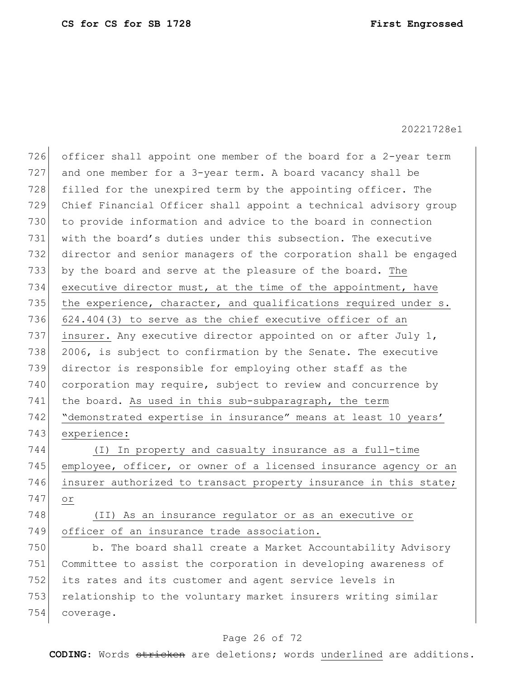| 726 | officer shall appoint one member of the board for a 2-year term  |
|-----|------------------------------------------------------------------|
| 727 | and one member for a 3-year term. A board vacancy shall be       |
| 728 | filled for the unexpired term by the appointing officer. The     |
| 729 | Chief Financial Officer shall appoint a technical advisory group |
| 730 | to provide information and advice to the board in connection     |
| 731 | with the board's duties under this subsection. The executive     |
| 732 | director and senior managers of the corporation shall be engaged |
| 733 | by the board and serve at the pleasure of the board. The         |
| 734 | executive director must, at the time of the appointment, have    |
| 735 | the experience, character, and qualifications required under s.  |
| 736 | 624.404(3) to serve as the chief executive officer of an         |
| 737 | insurer. Any executive director appointed on or after July 1,    |
| 738 | 2006, is subject to confirmation by the Senate. The executive    |
| 739 | director is responsible for employing other staff as the         |
| 740 | corporation may require, subject to review and concurrence by    |
| 741 | the board. As used in this sub-subparagraph, the term            |
| 742 | "demonstrated expertise in insurance" means at least 10 years'   |
| 743 | experience:                                                      |
| 744 | (I) In property and casualty insurance as a full-time            |
| 745 | employee, officer, or owner of a licensed insurance agency or an |
| 746 | insurer authorized to transact property insurance in this state; |
| 747 | or                                                               |
| 748 | (II) As an insurance regulator or as an executive or             |
| 749 | officer of an insurance trade association.                       |
| 750 | b. The board shall create a Market Accountability Advisory       |
| 751 | Committee to assist the corporation in developing awareness of   |
| 752 | its rates and its customer and agent service levels in           |
| 753 | relationship to the voluntary market insurers writing similar    |
| 754 | coverage.                                                        |

# Page 26 of 72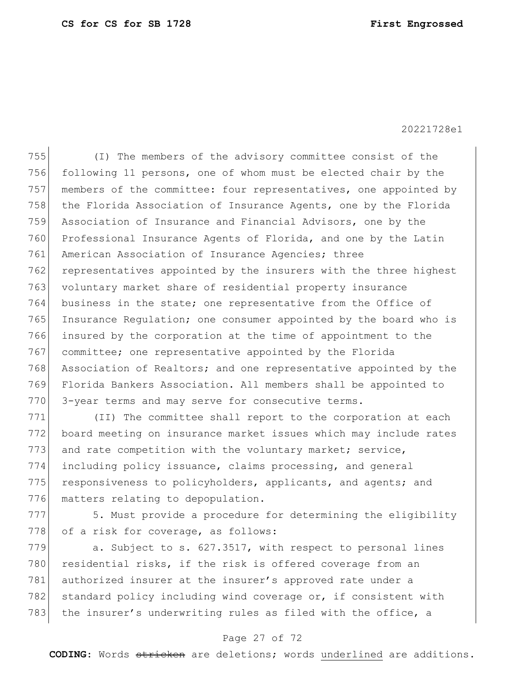755 (I) The members of the advisory committee consist of the 756 following 11 persons, one of whom must be elected chair by the 757 members of the committee: four representatives, one appointed by 758 the Florida Association of Insurance Agents, one by the Florida 759 Association of Insurance and Financial Advisors, one by the 760 Professional Insurance Agents of Florida, and one by the Latin 761 American Association of Insurance Agencies; three 762 representatives appointed by the insurers with the three highest 763 voluntary market share of residential property insurance 764 business in the state; one representative from the Office of 765 Insurance Regulation; one consumer appointed by the board who is 766 insured by the corporation at the time of appointment to the 767 committee; one representative appointed by the Florida 768 Association of Realtors; and one representative appointed by the 769 Florida Bankers Association. All members shall be appointed to 770 3-year terms and may serve for consecutive terms.

771 (II) The committee shall report to the corporation at each 772 board meeting on insurance market issues which may include rates 773 and rate competition with the voluntary market; service, 774 including policy issuance, claims processing, and general 775 responsiveness to policyholders, applicants, and agents; and 776 matters relating to depopulation.

777 5. Must provide a procedure for determining the eligibility 778 of a risk for coverage, as follows:

779 a. Subject to s. 627.3517, with respect to personal lines 780 residential risks, if the risk is offered coverage from an 781 authorized insurer at the insurer's approved rate under a 782 standard policy including wind coverage or, if consistent with 783 the insurer's underwriting rules as filed with the office, a

## Page 27 of 72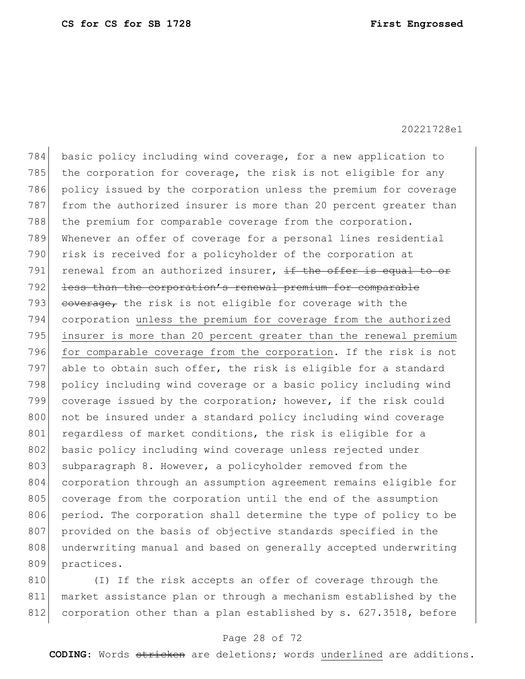784 basic policy including wind coverage, for a new application to 785 the corporation for coverage, the risk is not eligible for any 786 policy issued by the corporation unless the premium for coverage 787 from the authorized insurer is more than 20 percent greater than 788 the premium for comparable coverage from the corporation. 789 Whenever an offer of coverage for a personal lines residential 790 risk is received for a policyholder of the corporation at 791 renewal from an authorized insurer, if the offer is equal to or 792 less than the corporation's renewal premium for comparable 793 coverage, the risk is not eligible for coverage with the 794 corporation unless the premium for coverage from the authorized 795 insurer is more than 20 percent greater than the renewal premium 796 for comparable coverage from the corporation. If the risk is not 797 able to obtain such offer, the risk is eligible for a standard 798 policy including wind coverage or a basic policy including wind 799 coverage issued by the corporation; however, if the risk could 800 not be insured under a standard policy including wind coverage 801 regardless of market conditions, the risk is eligible for a 802 basic policy including wind coverage unless rejected under 803 subparagraph 8. However, a policyholder removed from the 804 corporation through an assumption agreement remains eligible for 805 coverage from the corporation until the end of the assumption 806 period. The corporation shall determine the type of policy to be 807 provided on the basis of objective standards specified in the 808 underwriting manual and based on generally accepted underwriting 809 practices.

810 (I) If the risk accepts an offer of coverage through the 811 market assistance plan or through a mechanism established by the 812 corporation other than a plan established by s. 627.3518, before

#### Page 28 of 72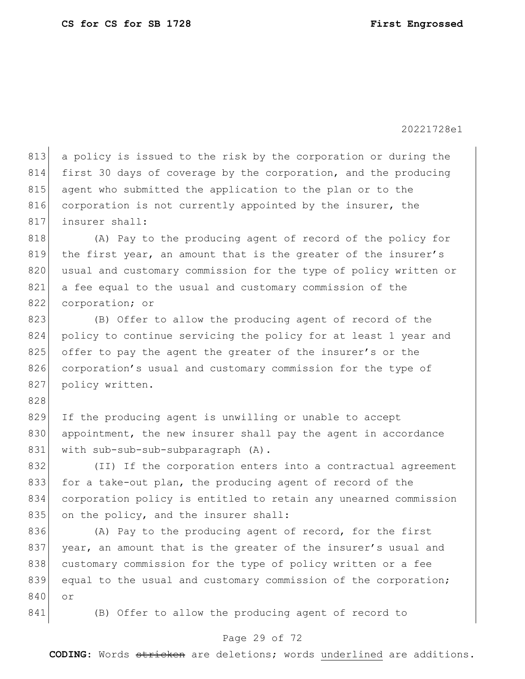813 a policy is issued to the risk by the corporation or during the 814 first 30 days of coverage by the corporation, and the producing 815 agent who submitted the application to the plan or to the 816 corporation is not currently appointed by the insurer, the 817 insurer shall:

818 (A) Pay to the producing agent of record of the policy for 819 the first year, an amount that is the greater of the insurer's 820 usual and customary commission for the type of policy written or 821 a fee equal to the usual and customary commission of the 822 corporation; or

823 (B) Offer to allow the producing agent of record of the 824 policy to continue servicing the policy for at least 1 year and 825 offer to pay the agent the greater of the insurer's or the 826 corporation's usual and customary commission for the type of 827 policy written.

829 If the producing agent is unwilling or unable to accept 830 appointment, the new insurer shall pay the agent in accordance 831 with sub-sub-sub-subparagraph (A).

 (II) If the corporation enters into a contractual agreement for a take-out plan, the producing agent of record of the corporation policy is entitled to retain any unearned commission 835 on the policy, and the insurer shall:

836 (A) Pay to the producing agent of record, for the first 837 year, an amount that is the greater of the insurer's usual and 838 customary commission for the type of policy written or a fee 839 equal to the usual and customary commission of the corporation; 840 or

828

841 (B) Offer to allow the producing agent of record to

## Page 29 of 72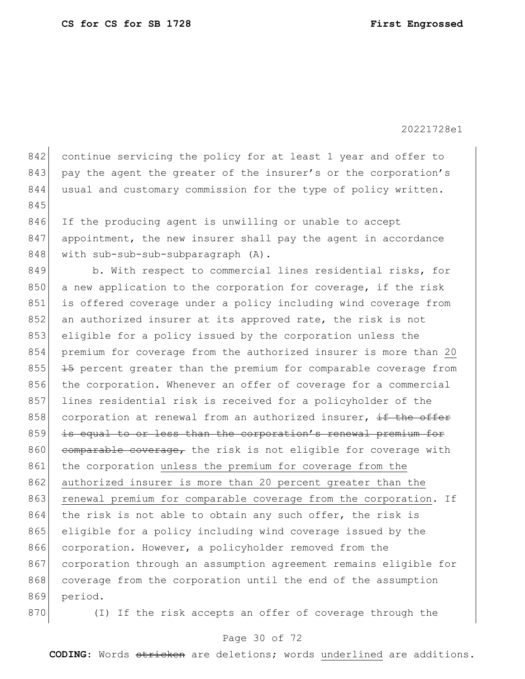842 continue servicing the policy for at least 1 year and offer to 843 pay the agent the greater of the insurer's or the corporation's 844 usual and customary commission for the type of policy written. 845

846 If the producing agent is unwilling or unable to accept 847 appointment, the new insurer shall pay the agent in accordance 848 | with sub-sub-sub-subparagraph (A).

849 b. With respect to commercial lines residential risks, for  $850$  a new application to the corporation for coverage, if the risk 851 is offered coverage under a policy including wind coverage from 852 an authorized insurer at its approved rate, the risk is not 853 eligible for a policy issued by the corporation unless the 854 premium for coverage from the authorized insurer is more than 20  $855$   $15$  percent greater than the premium for comparable coverage from 856 the corporation. Whenever an offer of coverage for a commercial 857 lines residential risk is received for a policyholder of the 858 corporation at renewal from an authorized insurer,  $\pm f$  the offer 859 is equal to or less than the corporation's renewal premium for 860 comparable coverage, the risk is not eligible for coverage with 861 the corporation unless the premium for coverage from the 862 authorized insurer is more than 20 percent greater than the 863 renewal premium for comparable coverage from the corporation. If  $864$  the risk is not able to obtain any such offer, the risk is 865 eligible for a policy including wind coverage issued by the 866 corporation. However, a policyholder removed from the 867 corporation through an assumption agreement remains eligible for 868 coverage from the corporation until the end of the assumption 869 period.

870 (I) If the risk accepts an offer of coverage through the

# Page 30 of 72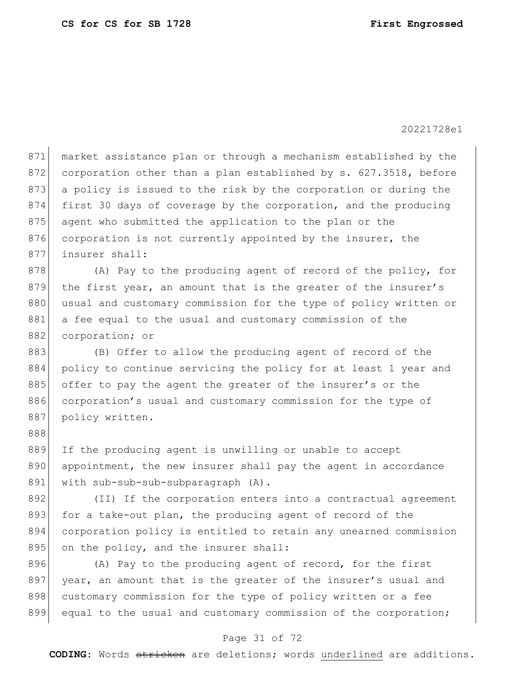871 market assistance plan or through a mechanism established by the 872 corporation other than a plan established by s. 627.3518, before 873 a policy is issued to the risk by the corporation or during the 874 first 30 days of coverage by the corporation, and the producing 875 agent who submitted the application to the plan or the 876 corporation is not currently appointed by the insurer, the 877 insurer shall: 878 (A) Pay to the producing agent of record of the policy, for 879 the first year, an amount that is the greater of the insurer's 880 usual and customary commission for the type of policy written or 881 a fee equal to the usual and customary commission of the 882 corporation; or 883 (B) Offer to allow the producing agent of record of the 884 policy to continue servicing the policy for at least 1 year and 885 offer to pay the agent the greater of the insurer's or the 886 corporation's usual and customary commission for the type of 887 policy written. 888 889 If the producing agent is unwilling or unable to accept 890 appointment, the new insurer shall pay the agent in accordance 891 with sub-sub-sub-subparagraph (A). 892 (II) If the corporation enters into a contractual agreement 893 for a take-out plan, the producing agent of record of the 894 corporation policy is entitled to retain any unearned commission 895 on the policy, and the insurer shall: 896 (A) Pay to the producing agent of record, for the first 897 year, an amount that is the greater of the insurer's usual and 898 customary commission for the type of policy written or a fee

## Page 31 of 72

899 equal to the usual and customary commission of the corporation;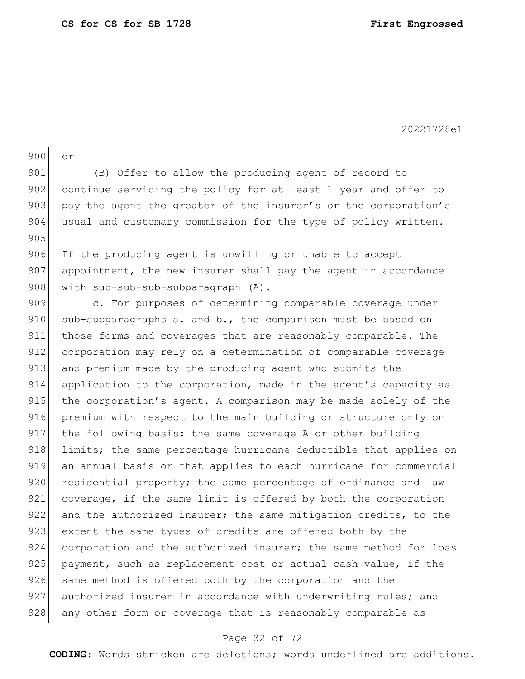900 or 901 (B) Offer to allow the producing agent of record to 902 continue servicing the policy for at least 1 year and offer to 903 pay the agent the greater of the insurer's or the corporation's 904 usual and customary commission for the type of policy written. 905 906 If the producing agent is unwilling or unable to accept 907 appointment, the new insurer shall pay the agent in accordance 908 with sub-sub-sub-subparagraph (A). 909 c. For purposes of determining comparable coverage under 910 sub-subparagraphs a. and b., the comparison must be based on 911 those forms and coverages that are reasonably comparable. The 912 corporation may rely on a determination of comparable coverage 913 and premium made by the producing agent who submits the 914 application to the corporation, made in the agent's capacity as 915 the corporation's agent. A comparison may be made solely of the 916 premium with respect to the main building or structure only on 917 the following basis: the same coverage A or other building 918 limits; the same percentage hurricane deductible that applies on 919 an annual basis or that applies to each hurricane for commercial  $920$  residential property; the same percentage of ordinance and law 921 coverage, if the same limit is offered by both the corporation 922 and the authorized insurer; the same mitigation credits, to the 923 extent the same types of credits are offered both by the 924 corporation and the authorized insurer; the same method for loss 925 payment, such as replacement cost or actual cash value, if the 926 same method is offered both by the corporation and the 927 authorized insurer in accordance with underwriting rules; and 928 any other form or coverage that is reasonably comparable as

#### Page 32 of 72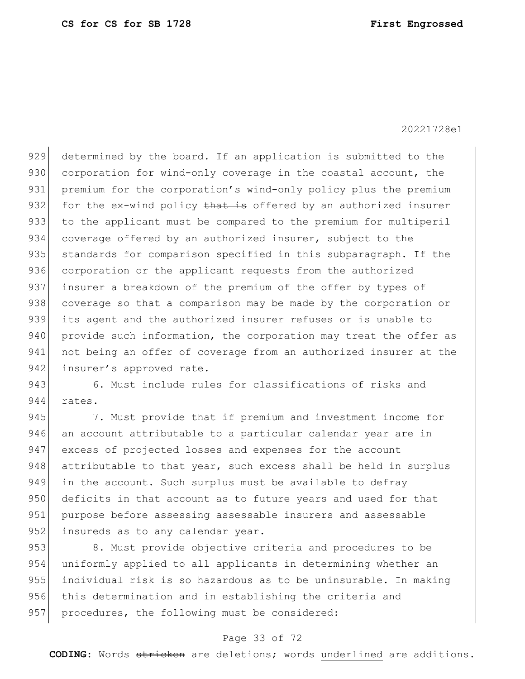929 determined by the board. If an application is submitted to the 930 corporation for wind-only coverage in the coastal account, the 931 premium for the corporation's wind-only policy plus the premium 932 for the ex-wind policy that is offered by an authorized insurer 933 to the applicant must be compared to the premium for multiperil 934 coverage offered by an authorized insurer, subject to the 935 standards for comparison specified in this subparagraph. If the 936 corporation or the applicant requests from the authorized 937 insurer a breakdown of the premium of the offer by types of 938 coverage so that a comparison may be made by the corporation or 939 its agent and the authorized insurer refuses or is unable to 940 provide such information, the corporation may treat the offer as 941 not being an offer of coverage from an authorized insurer at the 942 insurer's approved rate.

943 6. Must include rules for classifications of risks and 944 rates.

945 7. Must provide that if premium and investment income for 946 an account attributable to a particular calendar year are in 947 excess of projected losses and expenses for the account 948 attributable to that year, such excess shall be held in surplus 949 in the account. Such surplus must be available to defray 950 deficits in that account as to future years and used for that 951 purpose before assessing assessable insurers and assessable 952 insureds as to any calendar year.

953 8. Must provide objective criteria and procedures to be 954 uniformly applied to all applicants in determining whether an 955 individual risk is so hazardous as to be uninsurable. In making 956 this determination and in establishing the criteria and 957 procedures, the following must be considered:

#### Page 33 of 72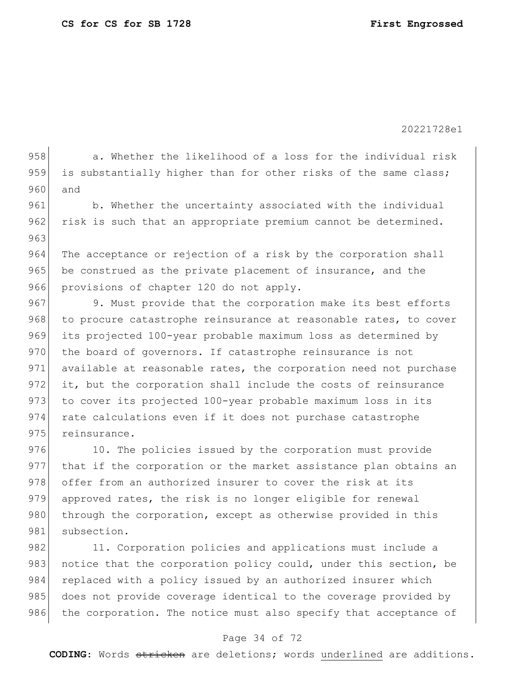958 a. Whether the likelihood of a loss for the individual risk 959 is substantially higher than for other risks of the same class; 960 and 961 b. Whether the uncertainty associated with the individual 962 risk is such that an appropriate premium cannot be determined. 963 964 The acceptance or rejection of a risk by the corporation shall 965 be construed as the private placement of insurance, and the 966 provisions of chapter 120 do not apply. 967 9. Must provide that the corporation make its best efforts 968 to procure catastrophe reinsurance at reasonable rates, to cover 969 its projected 100-year probable maximum loss as determined by 970 the board of governors. If catastrophe reinsurance is not 971 available at reasonable rates, the corporation need not purchase 972 it, but the corporation shall include the costs of reinsurance 973 to cover its projected 100-year probable maximum loss in its 974 rate calculations even if it does not purchase catastrophe 975 reinsurance. 976 10. The policies issued by the corporation must provide 977 that if the corporation or the market assistance plan obtains an 978 offer from an authorized insurer to cover the risk at its

979 approved rates, the risk is no longer eligible for renewal 980 through the corporation, except as otherwise provided in this 981 subsection.

982 11. Corporation policies and applications must include a 983 notice that the corporation policy could, under this section, be 984 replaced with a policy issued by an authorized insurer which 985 does not provide coverage identical to the coverage provided by 986 the corporation. The notice must also specify that acceptance of

#### Page 34 of 72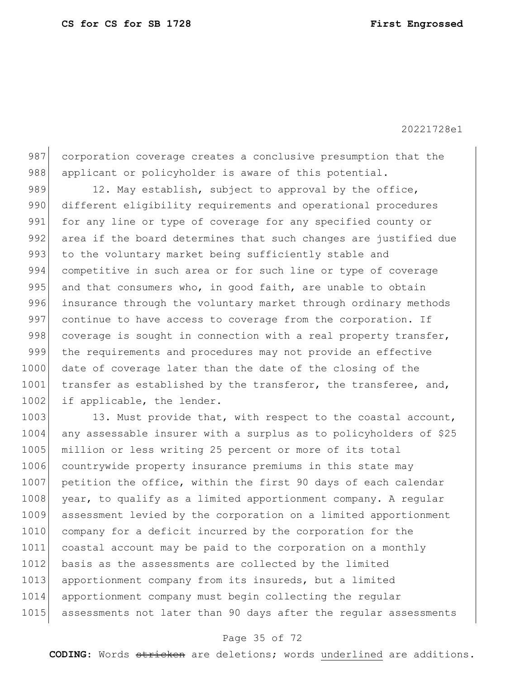987 corporation coverage creates a conclusive presumption that the 988 applicant or policyholder is aware of this potential.

989 12. May establish, subject to approval by the office, 990 different eligibility requirements and operational procedures 991 for any line or type of coverage for any specified county or 992 area if the board determines that such changes are justified due 993 to the voluntary market being sufficiently stable and 994 competitive in such area or for such line or type of coverage 995 and that consumers who, in good faith, are unable to obtain 996 insurance through the voluntary market through ordinary methods 997 continue to have access to coverage from the corporation. If 998 coverage is sought in connection with a real property transfer, 999 the requirements and procedures may not provide an effective 1000 date of coverage later than the date of the closing of the 1001 transfer as established by the transferor, the transferee, and, 1002 if applicable, the lender.

1003 13. Must provide that, with respect to the coastal account, 1004 any assessable insurer with a surplus as to policyholders of \$25 1005 million or less writing 25 percent or more of its total 1006 countrywide property insurance premiums in this state may 1007 petition the office, within the first 90 days of each calendar 1008 year, to qualify as a limited apportionment company. A regular 1009 assessment levied by the corporation on a limited apportionment 1010 company for a deficit incurred by the corporation for the 1011 coastal account may be paid to the corporation on a monthly 1012 basis as the assessments are collected by the limited 1013 apportionment company from its insureds, but a limited 1014 apportionment company must begin collecting the regular 1015 assessments not later than 90 days after the regular assessments

## Page 35 of 72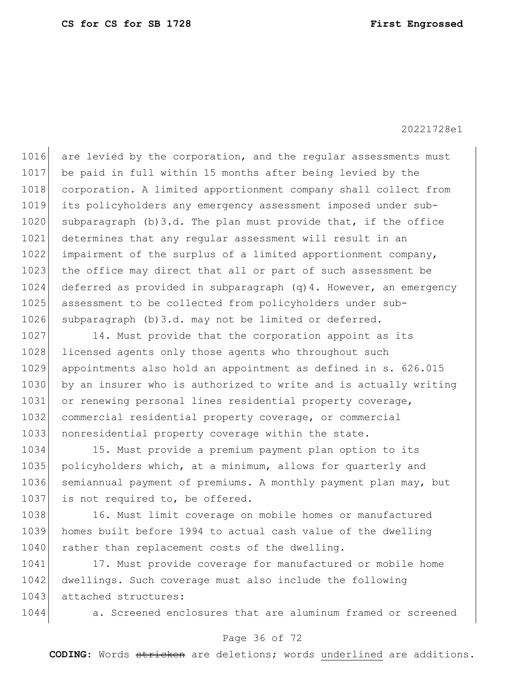1016 are levied by the corporation, and the regular assessments must be paid in full within 15 months after being levied by the 1018 corporation. A limited apportionment company shall collect from its policyholders any emergency assessment imposed under sub- subparagraph (b)3.d. The plan must provide that, if the office determines that any regular assessment will result in an impairment of the surplus of a limited apportionment company, 1023 the office may direct that all or part of such assessment be deferred as provided in subparagraph (q)4. However, an emergency assessment to be collected from policyholders under sub-1026 subparagraph (b)3.d. may not be limited or deferred.

1027 14. Must provide that the corporation appoint as its 1028 licensed agents only those agents who throughout such 1029 appointments also hold an appointment as defined in s. 626.015 1030 by an insurer who is authorized to write and is actually writing 1031 or renewing personal lines residential property coverage, 1032 commercial residential property coverage, or commercial 1033 | nonresidential property coverage within the state.

 15. Must provide a premium payment plan option to its policyholders which, at a minimum, allows for quarterly and semiannual payment of premiums. A monthly payment plan may, but 1037 is not required to, be offered.

1038 16. Must limit coverage on mobile homes or manufactured 1039 homes built before 1994 to actual cash value of the dwelling 1040 rather than replacement costs of the dwelling.

1041 17. Must provide coverage for manufactured or mobile home 1042 dwellings. Such coverage must also include the following 1043 attached structures:

1044 a. Screened enclosures that are aluminum framed or screened

# Page 36 of 72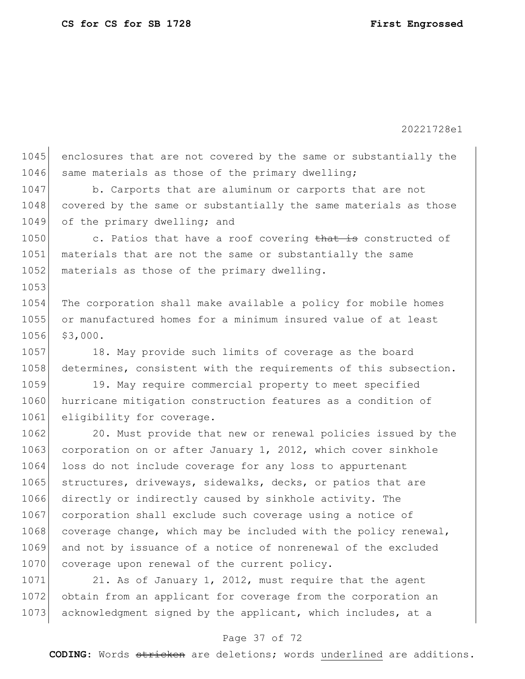1045 enclosures that are not covered by the same or substantially the 1046 same materials as those of the primary dwelling; 1047 b. Carports that are aluminum or carports that are not 1048 covered by the same or substantially the same materials as those 1049 of the primary dwelling; and 1050 c. Patios that have a roof covering that is constructed of 1051 materials that are not the same or substantially the same 1052 materials as those of the primary dwelling. 1053 1054 The corporation shall make available a policy for mobile homes 1055 or manufactured homes for a minimum insured value of at least 1056 \$3,000. 1057 18. May provide such limits of coverage as the board 1058 determines, consistent with the requirements of this subsection. 1059 19. May require commercial property to meet specified 1060 hurricane mitigation construction features as a condition of 1061 eligibility for coverage. 1062 20. Must provide that new or renewal policies issued by the 1063 corporation on or after January 1, 2012, which cover sinkhole 1064 loss do not include coverage for any loss to appurtenant 1065 structures, driveways, sidewalks, decks, or patios that are 1066 directly or indirectly caused by sinkhole activity. The 1067 corporation shall exclude such coverage using a notice of 1068 coverage change, which may be included with the policy renewal, 1069 and not by issuance of a notice of nonrenewal of the excluded 1070 coverage upon renewal of the current policy.

1071 21. As of January 1, 2012, must require that the agent 1072 obtain from an applicant for coverage from the corporation an 1073 acknowledgment signed by the applicant, which includes, at a

## Page 37 of 72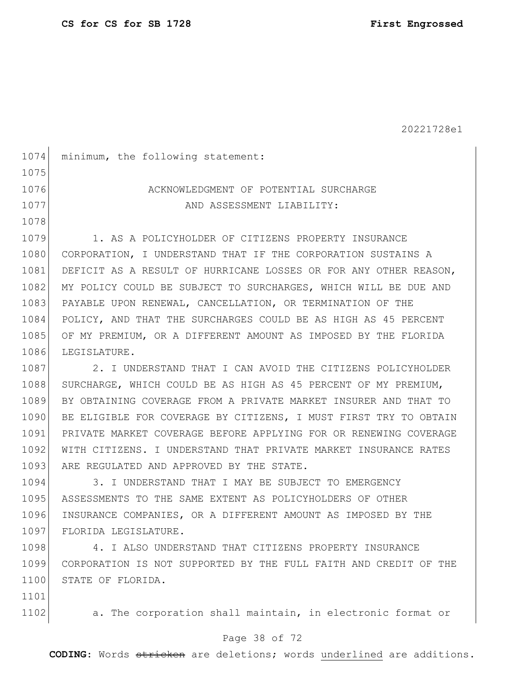| 1074 | minimum, the following statement:                                |
|------|------------------------------------------------------------------|
| 1075 |                                                                  |
| 1076 | ACKNOWLEDGMENT OF POTENTIAL SURCHARGE                            |
| 1077 | AND ASSESSMENT LIABILITY:                                        |
| 1078 |                                                                  |
| 1079 | 1. AS A POLICYHOLDER OF CITIZENS PROPERTY INSURANCE              |
| 1080 | CORPORATION, I UNDERSTAND THAT IF THE CORPORATION SUSTAINS A     |
| 1081 | DEFICIT AS A RESULT OF HURRICANE LOSSES OR FOR ANY OTHER REASON, |
| 1082 | MY POLICY COULD BE SUBJECT TO SURCHARGES, WHICH WILL BE DUE AND  |
| 1083 | PAYABLE UPON RENEWAL, CANCELLATION, OR TERMINATION OF THE        |
| 1084 | POLICY, AND THAT THE SURCHARGES COULD BE AS HIGH AS 45 PERCENT   |
| 1085 | OF MY PREMIUM, OR A DIFFERENT AMOUNT AS IMPOSED BY THE FLORIDA   |
| 1086 | LEGISLATURE.                                                     |
| 1087 | 2. I UNDERSTAND THAT I CAN AVOID THE CITIZENS POLICYHOLDER       |
| 1088 | SURCHARGE, WHICH COULD BE AS HIGH AS 45 PERCENT OF MY PREMIUM,   |
| 1089 | BY OBTAINING COVERAGE FROM A PRIVATE MARKET INSURER AND THAT TO  |
| 1090 | BE ELIGIBLE FOR COVERAGE BY CITIZENS, I MUST FIRST TRY TO OBTAIN |
| 1091 | PRIVATE MARKET COVERAGE BEFORE APPLYING FOR OR RENEWING COVERAGE |
| 1092 | WITH CITIZENS. I UNDERSTAND THAT PRIVATE MARKET INSURANCE RATES  |
| 1093 | ARE REGULATED AND APPROVED BY THE STATE.                         |
| 1094 | 3. I UNDERSTAND THAT I MAY BE SUBJECT TO EMERGENCY               |
| 1095 | ASSESSMENTS TO THE SAME EXTENT AS POLICYHOLDERS OF OTHER         |
| 1096 | INSURANCE COMPANIES, OR A DIFFERENT AMOUNT AS IMPOSED BY THE     |
| 1097 | FLORIDA LEGISLATURE.                                             |
| 1098 | 4. I ALSO UNDERSTAND THAT CITIZENS PROPERTY INSURANCE            |
| 1099 | CORPORATION IS NOT SUPPORTED BY THE FULL FAITH AND CREDIT OF THE |
| 1100 | STATE OF FLORIDA.                                                |
| 1101 |                                                                  |

1102 a. The corporation shall maintain, in electronic format or

# Page 38 of 72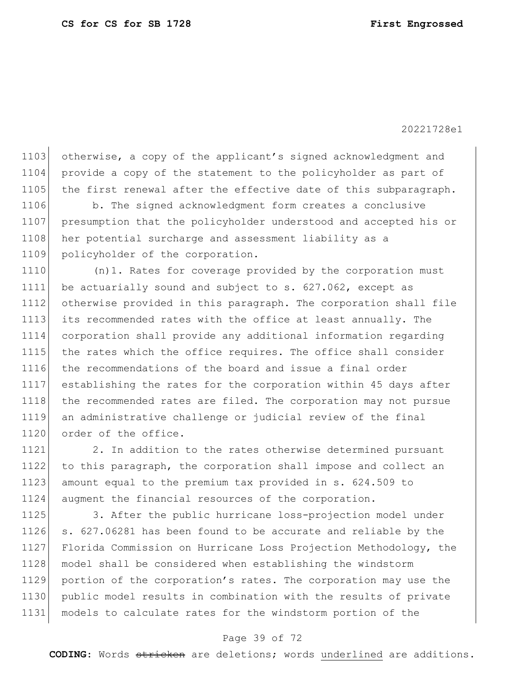1103 otherwise, a copy of the applicant's signed acknowledgment and 1104 provide a copy of the statement to the policyholder as part of 1105 the first renewal after the effective date of this subparagraph.

1106 b. The signed acknowledgment form creates a conclusive 1107 presumption that the policyholder understood and accepted his or 1108 her potential surcharge and assessment liability as a 1109 policyholder of the corporation.

1110 (n)1. Rates for coverage provided by the corporation must be actuarially sound and subject to s. 627.062, except as otherwise provided in this paragraph. The corporation shall file its recommended rates with the office at least annually. The corporation shall provide any additional information regarding 1115 the rates which the office requires. The office shall consider the recommendations of the board and issue a final order establishing the rates for the corporation within 45 days after 1118 the recommended rates are filed. The corporation may not pursue an administrative challenge or judicial review of the final 1120 order of the office.

1121 2. In addition to the rates otherwise determined pursuant to this paragraph, the corporation shall impose and collect an amount equal to the premium tax provided in s. 624.509 to augment the financial resources of the corporation.

1125 3. After the public hurricane loss-projection model under 1126 s. 627.06281 has been found to be accurate and reliable by the 1127 Florida Commission on Hurricane Loss Projection Methodology, the 1128 model shall be considered when establishing the windstorm 1129 portion of the corporation's rates. The corporation may use the 1130 public model results in combination with the results of private 1131 models to calculate rates for the windstorm portion of the

## Page 39 of 72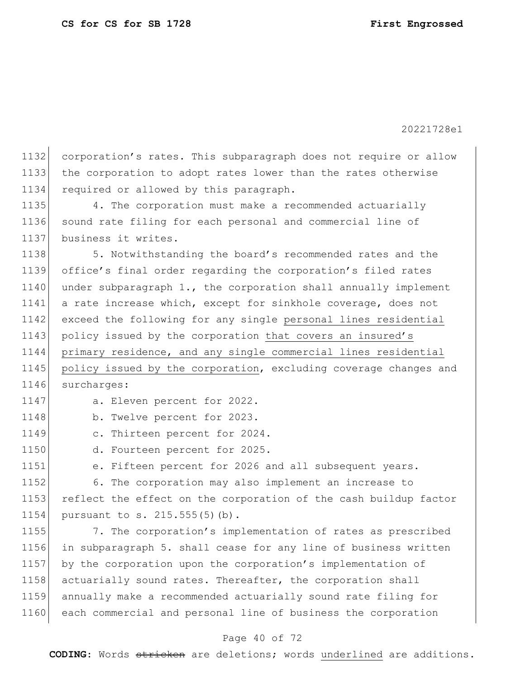1132 corporation's rates. This subparagraph does not require or allow 1133 the corporation to adopt rates lower than the rates otherwise 1134 required or allowed by this paragraph. 1135 4. The corporation must make a recommended actuarially 1136 sound rate filing for each personal and commercial line of 1137 business it writes. 1138 5. Notwithstanding the board's recommended rates and the 1139 office's final order regarding the corporation's filed rates 1140 under subparagraph 1., the corporation shall annually implement 1141 a rate increase which, except for sinkhole coverage, does not 1142 exceed the following for any single personal lines residential 1143 policy issued by the corporation that covers an insured's 1144 primary residence, and any single commercial lines residential 1145 | policy issued by the corporation, excluding coverage changes and 1146 surcharges: 1147 a. Eleven percent for 2022. 1148 b. Twelve percent for 2023. 1149 c. Thirteen percent for 2024. 1150 d. Fourteen percent for 2025. 1151 e. Fifteen percent for 2026 and all subsequent years. 1152 6. The corporation may also implement an increase to 1153 reflect the effect on the corporation of the cash buildup factor 1154 pursuant to s. 215.555(5)(b). 1155 7. The corporation's implementation of rates as prescribed 1156 in subparagraph 5. shall cease for any line of business written 1157 by the corporation upon the corporation's implementation of 1158 actuarially sound rates. Thereafter, the corporation shall 1159 annually make a recommended actuarially sound rate filing for

#### Page 40 of 72

1160 each commercial and personal line of business the corporation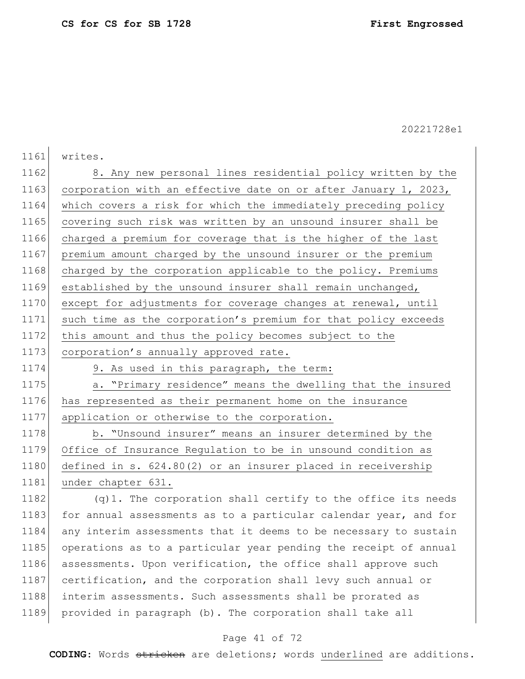| 1161 | writes.                                                          |
|------|------------------------------------------------------------------|
| 1162 | 8. Any new personal lines residential policy written by the      |
| 1163 | corporation with an effective date on or after January 1, 2023,  |
| 1164 | which covers a risk for which the immediately preceding policy   |
| 1165 | covering such risk was written by an unsound insurer shall be    |
| 1166 | charged a premium for coverage that is the higher of the last    |
| 1167 | premium amount charged by the unsound insurer or the premium     |
| 1168 | charged by the corporation applicable to the policy. Premiums    |
| 1169 | established by the unsound insurer shall remain unchanged,       |
| 1170 | except for adjustments for coverage changes at renewal, until    |
| 1171 | such time as the corporation's premium for that policy exceeds   |
| 1172 | this amount and thus the policy becomes subject to the           |
| 1173 | corporation's annually approved rate.                            |
| 1174 | 9. As used in this paragraph, the term:                          |
| 1175 | a. "Primary residence" means the dwelling that the insured       |
| 1176 | has represented as their permanent home on the insurance         |
| 1177 | application or otherwise to the corporation.                     |
| 1178 | b. "Unsound insurer" means an insurer determined by the          |
| 1179 | Office of Insurance Regulation to be in unsound condition as     |
| 1180 | defined in s. 624.80(2) or an insurer placed in receivership     |
| 1181 | under chapter 631.                                               |
| 1182 | $(q)$ 1. The corporation shall certify to the office its needs   |
| 1183 | for annual assessments as to a particular calendar year, and for |
| 1184 | any interim assessments that it deems to be necessary to sustain |
| 1185 | operations as to a particular year pending the receipt of annual |
| 1186 | assessments. Upon verification, the office shall approve such    |
| 1187 | certification, and the corporation shall levy such annual or     |
| 1188 | interim assessments. Such assessments shall be prorated as       |
| 1189 | provided in paragraph (b). The corporation shall take all        |

# Page 41 of 72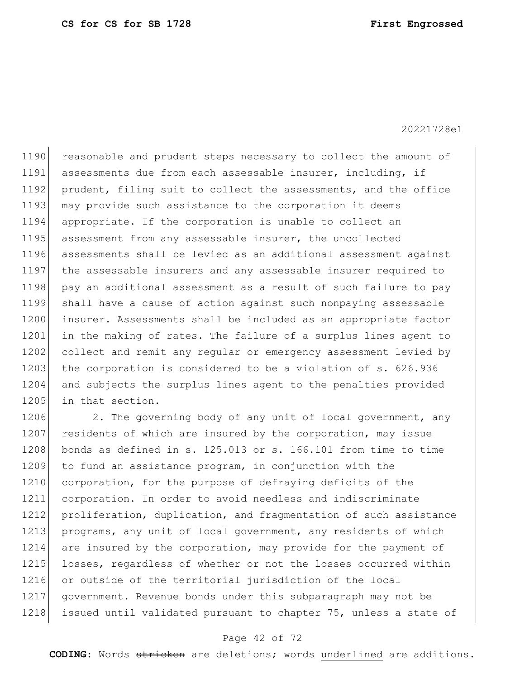1190 reasonable and prudent steps necessary to collect the amount of 1191 assessments due from each assessable insurer, including, if 1192 prudent, filing suit to collect the assessments, and the office 1193 may provide such assistance to the corporation it deems 1194 appropriate. If the corporation is unable to collect an 1195 assessment from any assessable insurer, the uncollected 1196 assessments shall be levied as an additional assessment against 1197 the assessable insurers and any assessable insurer required to 1198 pay an additional assessment as a result of such failure to pay 1199 shall have a cause of action against such nonpaying assessable 1200 insurer. Assessments shall be included as an appropriate factor 1201 in the making of rates. The failure of a surplus lines agent to 1202 collect and remit any regular or emergency assessment levied by 1203 the corporation is considered to be a violation of s. 626.936 1204 and subjects the surplus lines agent to the penalties provided 1205 in that section.

1206 2. The governing body of any unit of local government, any 1207 residents of which are insured by the corporation, may issue 1208 bonds as defined in s. 125.013 or s. 166.101 from time to time 1209 to fund an assistance program, in conjunction with the 1210 corporation, for the purpose of defraying deficits of the 1211 corporation. In order to avoid needless and indiscriminate 1212 proliferation, duplication, and fragmentation of such assistance 1213 programs, any unit of local government, any residents of which 1214 are insured by the corporation, may provide for the payment of 1215 losses, regardless of whether or not the losses occurred within 1216 or outside of the territorial jurisdiction of the local 1217 government. Revenue bonds under this subparagraph may not be 1218 issued until validated pursuant to chapter 75, unless a state of

### Page 42 of 72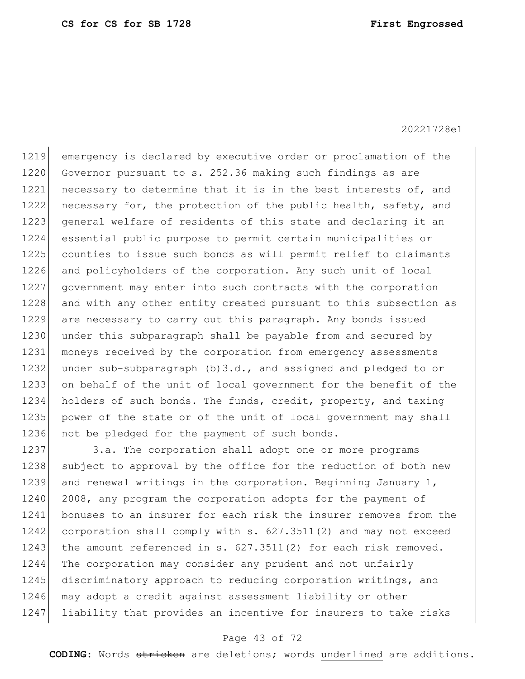1219 emergency is declared by executive order or proclamation of the 1220 Governor pursuant to s. 252.36 making such findings as are 1221 necessary to determine that it is in the best interests of, and 1222 necessary for, the protection of the public health, safety, and 1223 general welfare of residents of this state and declaring it an 1224 essential public purpose to permit certain municipalities or 1225 counties to issue such bonds as will permit relief to claimants 1226 and policyholders of the corporation. Any such unit of local 1227 government may enter into such contracts with the corporation 1228 and with any other entity created pursuant to this subsection as 1229 are necessary to carry out this paragraph. Any bonds issued 1230 under this subparagraph shall be payable from and secured by 1231 moneys received by the corporation from emergency assessments 1232 under sub-subparagraph (b)3.d., and assigned and pledged to or 1233 on behalf of the unit of local government for the benefit of the 1234 holders of such bonds. The funds, credit, property, and taxing 1235 power of the state or of the unit of local government may shall 1236 not be pledged for the payment of such bonds.

1237 3.a. The corporation shall adopt one or more programs 1238 subject to approval by the office for the reduction of both new 1239 and renewal writings in the corporation. Beginning January 1, 1240 2008, any program the corporation adopts for the payment of 1241 bonuses to an insurer for each risk the insurer removes from the 1242 corporation shall comply with s. 627.3511(2) and may not exceed 1243 the amount referenced in s. 627.3511(2) for each risk removed. 1244 The corporation may consider any prudent and not unfairly 1245 discriminatory approach to reducing corporation writings, and 1246 may adopt a credit against assessment liability or other 1247 liability that provides an incentive for insurers to take risks

## Page 43 of 72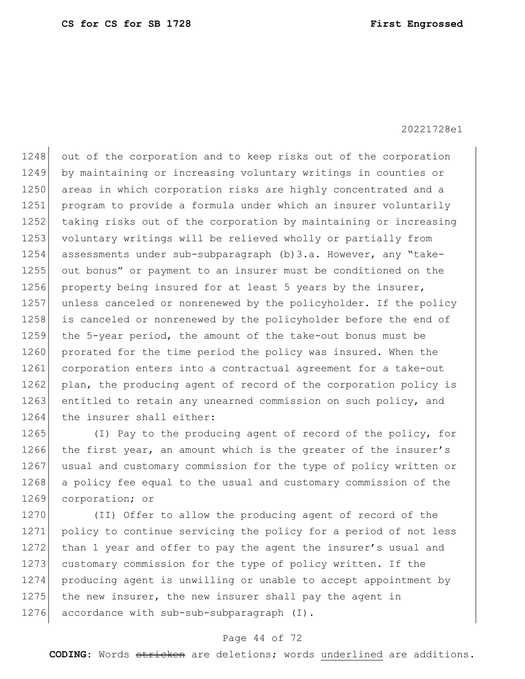1248 out of the corporation and to keep risks out of the corporation 1249 by maintaining or increasing voluntary writings in counties or 1250 areas in which corporation risks are highly concentrated and a 1251 program to provide a formula under which an insurer voluntarily 1252 taking risks out of the corporation by maintaining or increasing 1253 voluntary writings will be relieved wholly or partially from 1254 assessments under sub-subparagraph (b)3.a. However, any "take-1255 out bonus" or payment to an insurer must be conditioned on the 1256 property being insured for at least 5 years by the insurer, 1257 unless canceled or nonrenewed by the policyholder. If the policy 1258 is canceled or nonrenewed by the policyholder before the end of 1259 the 5-year period, the amount of the take-out bonus must be 1260 prorated for the time period the policy was insured. When the 1261 corporation enters into a contractual agreement for a take-out 1262 plan, the producing agent of record of the corporation policy is 1263 entitled to retain any unearned commission on such policy, and 1264 the insurer shall either:

1265 (I) Pay to the producing agent of record of the policy, for 1266 the first year, an amount which is the greater of the insurer's 1267 usual and customary commission for the type of policy written or 1268 a policy fee equal to the usual and customary commission of the 1269 corporation; or

1270 (II) Offer to allow the producing agent of record of the 1271 policy to continue servicing the policy for a period of not less 1272 | than 1 year and offer to pay the agent the insurer's usual and 1273 customary commission for the type of policy written. If the 1274 producing agent is unwilling or unable to accept appointment by 1275 the new insurer, the new insurer shall pay the agent in 1276 accordance with sub-sub-subparagraph (I).

### Page 44 of 72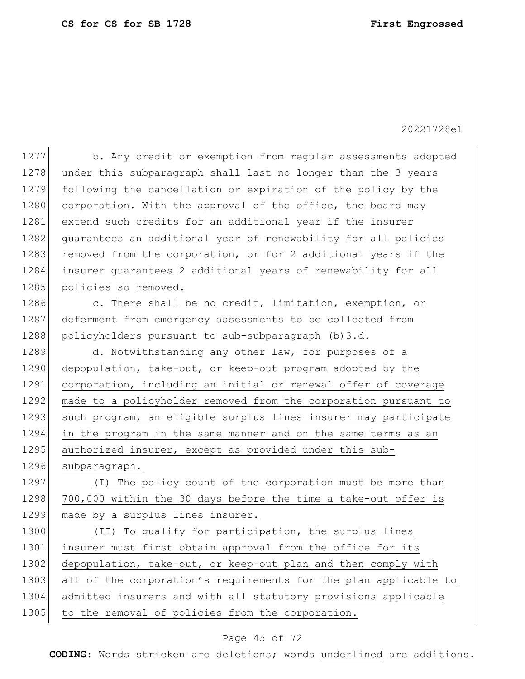| 1277 | b. Any credit or exemption from regular assessments adopted      |
|------|------------------------------------------------------------------|
| 1278 | under this subparagraph shall last no longer than the 3 years    |
| 1279 | following the cancellation or expiration of the policy by the    |
| 1280 | corporation. With the approval of the office, the board may      |
| 1281 | extend such credits for an additional year if the insurer        |
| 1282 | quarantees an additional year of renewability for all policies   |
| 1283 | removed from the corporation, or for 2 additional years if the   |
| 1284 | insurer quarantees 2 additional years of renewability for all    |
| 1285 | policies so removed.                                             |
| 1286 | c. There shall be no credit, limitation, exemption, or           |
| 1287 | deferment from emergency assessments to be collected from        |
| 1288 | policyholders pursuant to sub-subparagraph (b) 3.d.              |
| 1289 | d. Notwithstanding any other law, for purposes of a              |
| 1290 | depopulation, take-out, or keep-out program adopted by the       |
| 1291 | corporation, including an initial or renewal offer of coverage   |
| 1292 | made to a policyholder removed from the corporation pursuant to  |
| 1293 | such program, an eligible surplus lines insurer may participate  |
| 1294 | in the program in the same manner and on the same terms as an    |
| 1295 | authorized insurer, except as provided under this sub-           |
| 1296 | subparagraph.                                                    |
| 1297 | The policy count of the corporation must be more than<br>( I )   |
| 1298 | 700,000 within the 30 days before the time a take-out offer is   |
| 1299 | made by a surplus lines insurer.                                 |
| 1300 | (II) To qualify for participation, the surplus lines             |
| 1301 | insurer must first obtain approval from the office for its       |
| 1302 | depopulation, take-out, or keep-out plan and then comply with    |
| 1303 | all of the corporation's requirements for the plan applicable to |
| 1304 | admitted insurers and with all statutory provisions applicable   |
| 1305 | to the removal of policies from the corporation.                 |

# Page 45 of 72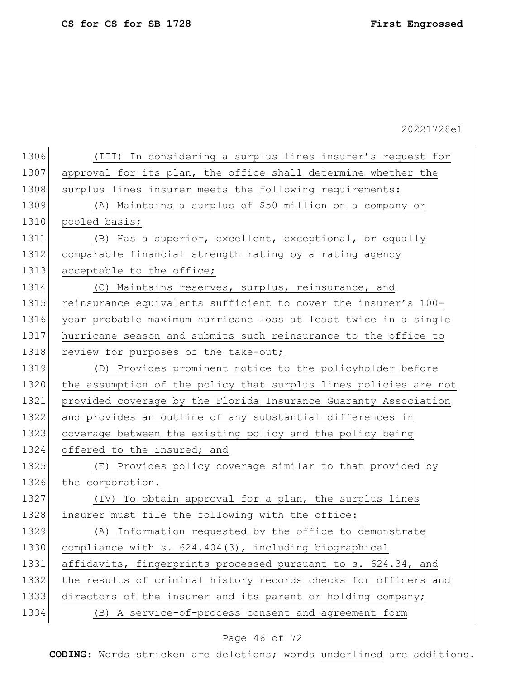| 1306 | (III) In considering a surplus lines insurer's request for       |
|------|------------------------------------------------------------------|
| 1307 | approval for its plan, the office shall determine whether the    |
| 1308 | surplus lines insurer meets the following requirements:          |
| 1309 | (A) Maintains a surplus of \$50 million on a company or          |
| 1310 | pooled basis;                                                    |
| 1311 | (B) Has a superior, excellent, exceptional, or equally           |
| 1312 | comparable financial strength rating by a rating agency          |
| 1313 | acceptable to the office;                                        |
| 1314 | (C) Maintains reserves, surplus, reinsurance, and                |
| 1315 | reinsurance equivalents sufficient to cover the insurer's 100-   |
| 1316 | year probable maximum hurricane loss at least twice in a single  |
| 1317 | hurricane season and submits such reinsurance to the office to   |
| 1318 | review for purposes of the take-out;                             |
| 1319 | (D) Provides prominent notice to the policyholder before         |
| 1320 | the assumption of the policy that surplus lines policies are not |
| 1321 | provided coverage by the Florida Insurance Guaranty Association  |
| 1322 | and provides an outline of any substantial differences in        |
| 1323 | coverage between the existing policy and the policy being        |
| 1324 | offered to the insured; and                                      |
| 1325 | (E) Provides policy coverage similar to that provided by         |
| 1326 | the corporation.                                                 |
| 1327 | (IV) To obtain approval for a plan, the surplus lines            |
| 1328 | insurer must file the following with the office:                 |
| 1329 | (A) Information requested by the office to demonstrate           |
| 1330 | compliance with s. 624.404(3), including biographical            |
| 1331 | affidavits, fingerprints processed pursuant to s. 624.34, and    |
| 1332 | the results of criminal history records checks for officers and  |
| 1333 | directors of the insurer and its parent or holding company;      |
| 1334 | (B) A service-of-process consent and agreement form              |

# Page 46 of 72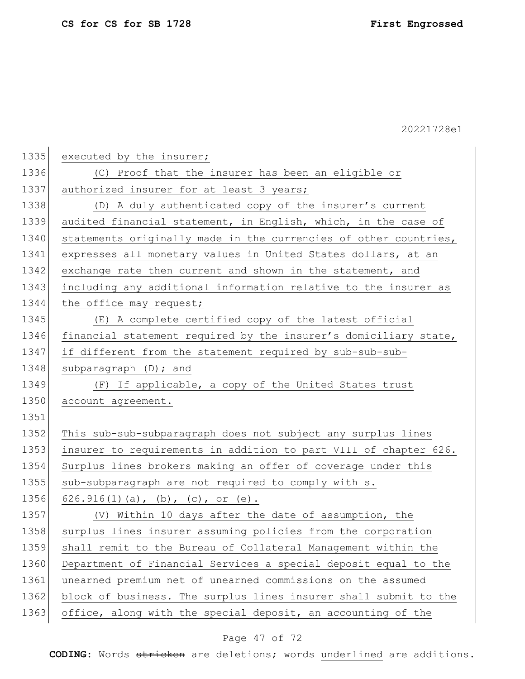| 1335 | executed by the insurer;                                         |
|------|------------------------------------------------------------------|
| 1336 | (C) Proof that the insurer has been an eligible or               |
| 1337 | authorized insurer for at least 3 years;                         |
| 1338 | (D) A duly authenticated copy of the insurer's current           |
| 1339 | audited financial statement, in English, which, in the case of   |
| 1340 | statements originally made in the currencies of other countries, |
| 1341 | expresses all monetary values in United States dollars, at an    |
| 1342 | exchange rate then current and shown in the statement, and       |
| 1343 | including any additional information relative to the insurer as  |
| 1344 | the office may request;                                          |
| 1345 | (E) A complete certified copy of the latest official             |
| 1346 | financial statement required by the insurer's domiciliary state, |
| 1347 | if different from the statement required by sub-sub-sub-         |
| 1348 | subparagraph (D); and                                            |
| 1349 | (F) If applicable, a copy of the United States trust             |
| 1350 | account agreement.                                               |
| 1351 |                                                                  |
| 1352 | This sub-sub-subparagraph does not subject any surplus lines     |
| 1353 | insurer to requirements in addition to part VIII of chapter 626. |
| 1354 | Surplus lines brokers making an offer of coverage under this     |
| 1355 | sub-subparagraph are not required to comply with s.              |
| 1356 | $626.916(1)$ (a), (b), (c), or (e).                              |
| 1357 | (V) Within 10 days after the date of assumption, the             |
| 1358 | surplus lines insurer assuming policies from the corporation     |
| 1359 | shall remit to the Bureau of Collateral Management within the    |
| 1360 | Department of Financial Services a special deposit equal to the  |
| 1361 | unearned premium net of unearned commissions on the assumed      |
| 1362 | block of business. The surplus lines insurer shall submit to the |
| 1363 | office, along with the special deposit, an accounting of the     |

# Page 47 of 72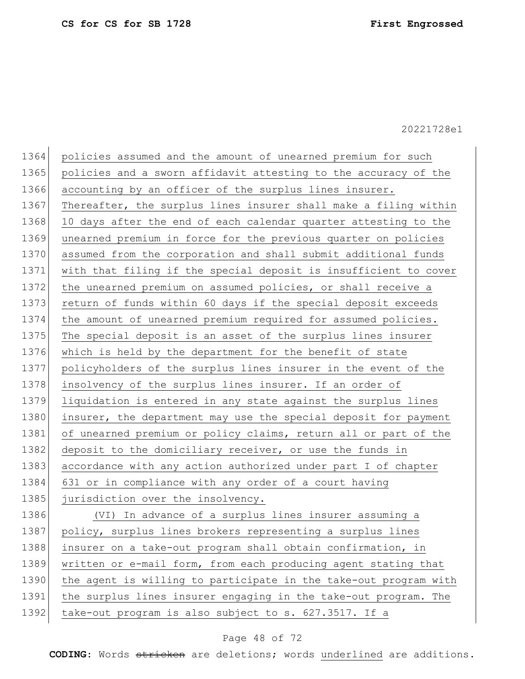1364 policies assumed and the amount of unearned premium for such 1365 policies and a sworn affidavit attesting to the accuracy of the 1366 accounting by an officer of the surplus lines insurer. 1367 Thereafter, the surplus lines insurer shall make a filing within 1368 10 days after the end of each calendar quarter attesting to the 1369 unearned premium in force for the previous quarter on policies 1370 assumed from the corporation and shall submit additional funds 1371 with that filing if the special deposit is insufficient to cover 1372 the unearned premium on assumed policies, or shall receive a 1373 return of funds within 60 days if the special deposit exceeds 1374 the amount of unearned premium required for assumed policies. 1375 The special deposit is an asset of the surplus lines insurer 1376 which is held by the department for the benefit of state 1377 policyholders of the surplus lines insurer in the event of the 1378 insolvency of the surplus lines insurer. If an order of 1379 liquidation is entered in any state against the surplus lines 1380 insurer, the department may use the special deposit for payment 1381 of unearned premium or policy claims, return all or part of the 1382 deposit to the domiciliary receiver, or use the funds in 1383 accordance with any action authorized under part I of chapter 1384 631 or in compliance with any order of a court having 1385 jurisdiction over the insolvency. 1386 (VI) In advance of a surplus lines insurer assuming a 1387 policy, surplus lines brokers representing a surplus lines 1388 insurer on a take-out program shall obtain confirmation, in 1389 written or e-mail form, from each producing agent stating that 1390 the agent is willing to participate in the take-out program with 1391 the surplus lines insurer engaging in the take-out program. The 1392 take-out program is also subject to s. 627.3517. If a

### Page 48 of 72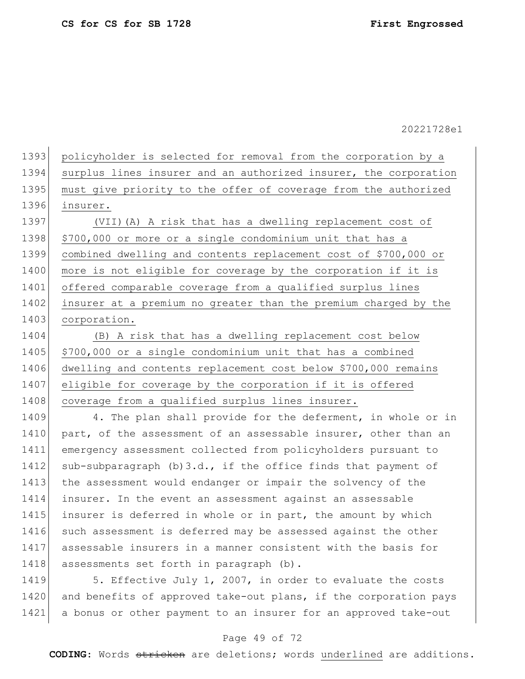1393 policyholder is selected for removal from the corporation by a 1394 surplus lines insurer and an authorized insurer, the corporation 1395 must give priority to the offer of coverage from the authorized 1396 insurer. 1397 (VII)(A) A risk that has a dwelling replacement cost of 1398 \$700,000 or more or a single condominium unit that has a 1399 combined dwelling and contents replacement cost of \$700,000 or 1400 more is not eligible for coverage by the corporation if it is 1401 offered comparable coverage from a qualified surplus lines 1402 insurer at a premium no greater than the premium charged by the 1403 corporation. 1404 (B) A risk that has a dwelling replacement cost below 1405 \$700,000 or a single condominium unit that has a combined 1406 dwelling and contents replacement cost below \$700,000 remains 1407 eligible for coverage by the corporation if it is offered 1408 coverage from a qualified surplus lines insurer. 1409 4. The plan shall provide for the deferment, in whole or in

1410 part, of the assessment of an assessable insurer, other than an 1411 emergency assessment collected from policyholders pursuant to 1412 sub-subparagraph (b)  $3.d.,$  if the office finds that payment of 1413 the assessment would endanger or impair the solvency of the 1414 insurer. In the event an assessment against an assessable 1415 insurer is deferred in whole or in part, the amount by which 1416 such assessment is deferred may be assessed against the other 1417 assessable insurers in a manner consistent with the basis for 1418 assessments set forth in paragraph (b).

1419 5. Effective July 1, 2007, in order to evaluate the costs 1420 and benefits of approved take-out plans, if the corporation pays 1421 a bonus or other payment to an insurer for an approved take-out

## Page 49 of 72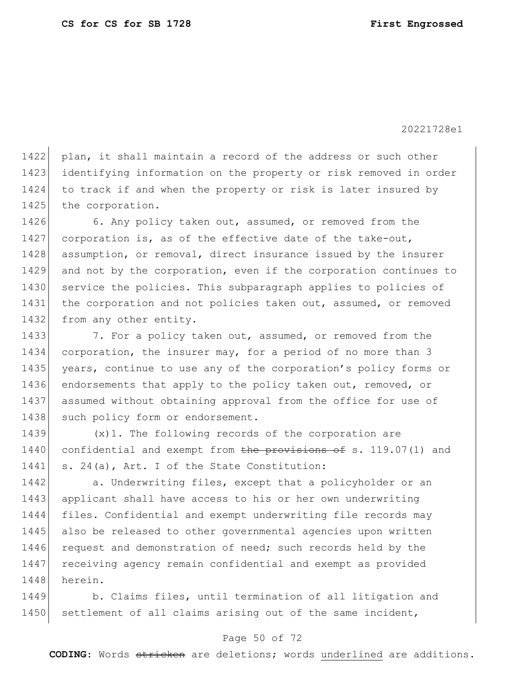plan, it shall maintain a record of the address or such other identifying information on the property or risk removed in order to track if and when the property or risk is later insured by 1425 the corporation.

1426 6. Any policy taken out, assumed, or removed from the 1427 corporation is, as of the effective date of the take-out, 1428 assumption, or removal, direct insurance issued by the insurer 1429 and not by the corporation, even if the corporation continues to 1430 service the policies. This subparagraph applies to policies of 1431 the corporation and not policies taken out, assumed, or removed 1432 from any other entity.

1433 7. For a policy taken out, assumed, or removed from the 1434 corporation, the insurer may, for a period of no more than 3 1435 years, continue to use any of the corporation's policy forms or 1436 endorsements that apply to the policy taken out, removed, or 1437 assumed without obtaining approval from the office for use of 1438 such policy form or endorsement.

1439  $(x)$ 1. The following records of the corporation are 1440 confidential and exempt from the provisions of s. 119.07(1) and 1441 s. 24(a), Art. I of the State Constitution:

1442 a. Underwriting files, except that a policyholder or an 1443 applicant shall have access to his or her own underwriting 1444 files. Confidential and exempt underwriting file records may 1445 also be released to other governmental agencies upon written 1446 request and demonstration of need; such records held by the 1447 receiving agency remain confidential and exempt as provided 1448 herein.

1449 b. Claims files, until termination of all litigation and 1450 settlement of all claims arising out of the same incident,

## Page 50 of 72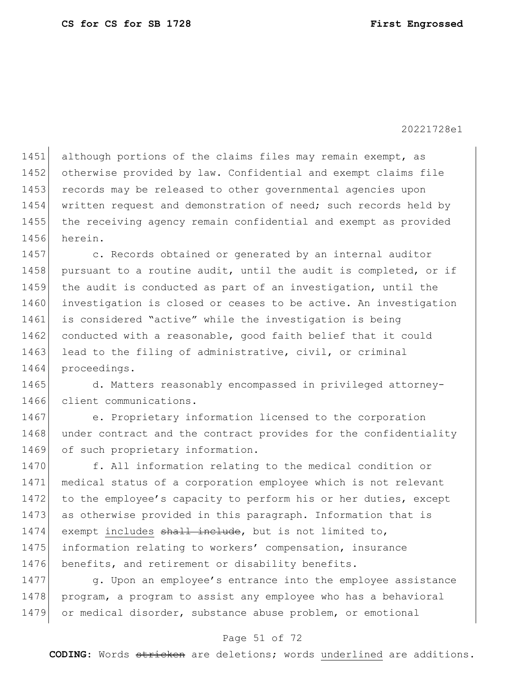1451 although portions of the claims files may remain exempt, as 1452 otherwise provided by law. Confidential and exempt claims file 1453 records may be released to other governmental agencies upon 1454 written request and demonstration of need; such records held by 1455 the receiving agency remain confidential and exempt as provided 1456 herein.

1457 c. Records obtained or generated by an internal auditor 1458 pursuant to a routine audit, until the audit is completed, or if 1459 the audit is conducted as part of an investigation, until the 1460 investigation is closed or ceases to be active. An investigation 1461 is considered "active" while the investigation is being 1462 conducted with a reasonable, good faith belief that it could 1463 lead to the filing of administrative, civil, or criminal 1464 proceedings.

1465 d. Matters reasonably encompassed in privileged attorney-1466 client communications.

1467 e. Proprietary information licensed to the corporation 1468 under contract and the contract provides for the confidentiality 1469 of such proprietary information.

1470 f. All information relating to the medical condition or 1471 medical status of a corporation employee which is not relevant 1472 to the employee's capacity to perform his or her duties, except 1473 as otherwise provided in this paragraph. Information that is 1474 exempt includes shall include, but is not limited to, 1475 information relating to workers' compensation, insurance 1476 benefits, and retirement or disability benefits.

1477 g. Upon an employee's entrance into the employee assistance 1478 program, a program to assist any employee who has a behavioral 1479 or medical disorder, substance abuse problem, or emotional

## Page 51 of 72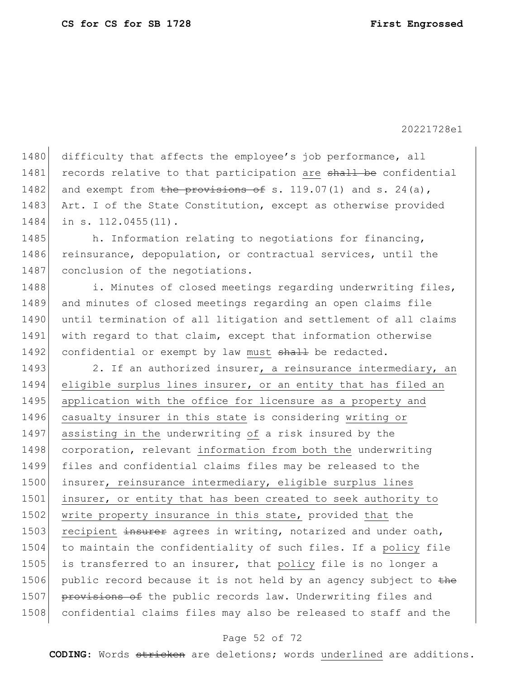1480 difficulty that affects the employee's job performance, all 1481 records relative to that participation are shall be confidential 1482 and exempt from the provisions of s. 119.07(1) and s. 24(a), 1483 Art. I of the State Constitution, except as otherwise provided 1484 in s. 112.0455(11).

1485 h. Information relating to negotiations for financing, 1486 reinsurance, depopulation, or contractual services, until the 1487 conclusion of the negotiations.

1488 i. Minutes of closed meetings regarding underwriting files, 1489 and minutes of closed meetings regarding an open claims file 1490 until termination of all litigation and settlement of all claims 1491 with regard to that claim, except that information otherwise 1492 confidential or exempt by law must shall be redacted.

1493 2. If an authorized insurer, a reinsurance intermediary, an 1494 eligible surplus lines insurer, or an entity that has filed an 1495 application with the office for licensure as a property and 1496 casualty insurer in this state is considering writing or 1497 assisting in the underwriting of a risk insured by the 1498 corporation, relevant information from both the underwriting 1499 files and confidential claims files may be released to the 1500 insurer, reinsurance intermediary, eligible surplus lines 1501 insurer, or entity that has been created to seek authority to 1502 write property insurance in this state, provided that the 1503 recipient insurer agrees in writing, notarized and under oath, 1504 to maintain the confidentiality of such files. If a policy file 1505 is transferred to an insurer, that policy file is no longer a 1506 public record because it is not held by an agency subject to  $t$ he 1507 **provisions of** the public records law. Underwriting files and 1508 confidential claims files may also be released to staff and the

#### Page 52 of 72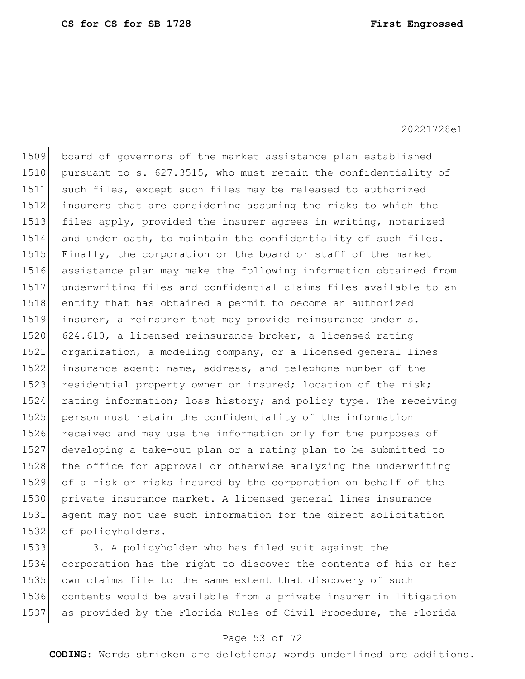board of governors of the market assistance plan established 1510 pursuant to s. 627.3515, who must retain the confidentiality of such files, except such files may be released to authorized insurers that are considering assuming the risks to which the files apply, provided the insurer agrees in writing, notarized 1514 and under oath, to maintain the confidentiality of such files. Finally, the corporation or the board or staff of the market assistance plan may make the following information obtained from underwriting files and confidential claims files available to an 1518 entity that has obtained a permit to become an authorized insurer, a reinsurer that may provide reinsurance under s. 624.610, a licensed reinsurance broker, a licensed rating organization, a modeling company, or a licensed general lines insurance agent: name, address, and telephone number of the 1523 residential property owner or insured; location of the risk; 1524 rating information; loss history; and policy type. The receiving person must retain the confidentiality of the information received and may use the information only for the purposes of developing a take-out plan or a rating plan to be submitted to the office for approval or otherwise analyzing the underwriting of a risk or risks insured by the corporation on behalf of the private insurance market. A licensed general lines insurance agent may not use such information for the direct solicitation 1532 of policyholders.

1533 3. A policyholder who has filed suit against the corporation has the right to discover the contents of his or her own claims file to the same extent that discovery of such contents would be available from a private insurer in litigation 1537 as provided by the Florida Rules of Civil Procedure, the Florida

## Page 53 of 72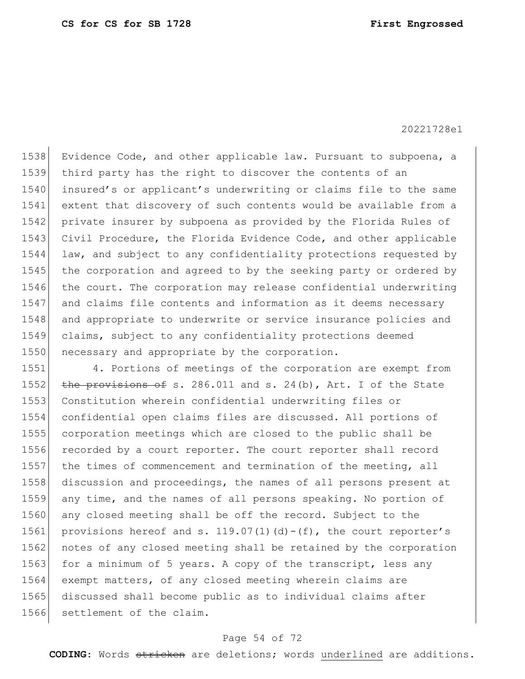1538 Evidence Code, and other applicable law. Pursuant to subpoena, a 1539 third party has the right to discover the contents of an 1540 insured's or applicant's underwriting or claims file to the same 1541 extent that discovery of such contents would be available from a 1542 private insurer by subpoena as provided by the Florida Rules of 1543 Civil Procedure, the Florida Evidence Code, and other applicable 1544 law, and subject to any confidentiality protections requested by 1545 the corporation and agreed to by the seeking party or ordered by 1546 the court. The corporation may release confidential underwriting 1547 and claims file contents and information as it deems necessary 1548 and appropriate to underwrite or service insurance policies and 1549 claims, subject to any confidentiality protections deemed 1550 necessary and appropriate by the corporation.

1551 4. Portions of meetings of the corporation are exempt from 1552 the provisions of s. 286.011 and s. 24(b), Art. I of the State 1553 Constitution wherein confidential underwriting files or 1554 confidential open claims files are discussed. All portions of 1555 corporation meetings which are closed to the public shall be 1556 recorded by a court reporter. The court reporter shall record 1557 the times of commencement and termination of the meeting, all 1558 discussion and proceedings, the names of all persons present at 1559 any time, and the names of all persons speaking. No portion of 1560 any closed meeting shall be off the record. Subject to the 1561 provisions hereof and s. 119.07(1)(d)-(f), the court reporter's 1562 notes of any closed meeting shall be retained by the corporation 1563 for a minimum of 5 years. A copy of the transcript, less any 1564 exempt matters, of any closed meeting wherein claims are 1565 discussed shall become public as to individual claims after 1566 settlement of the claim.

## Page 54 of 72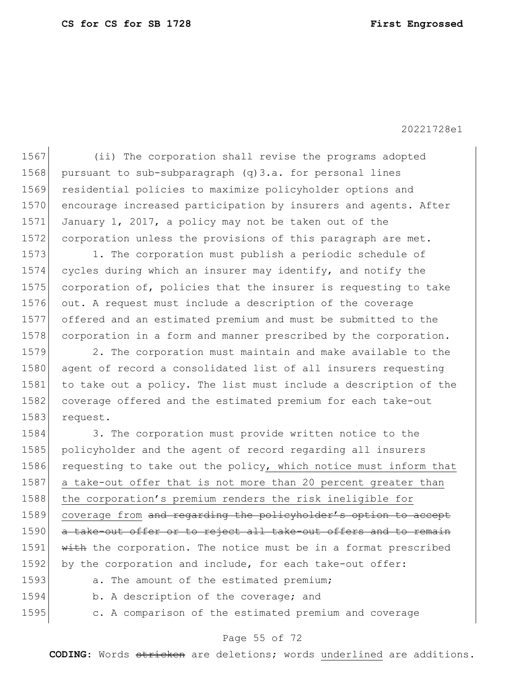1567 (ii) The corporation shall revise the programs adopted 1568 pursuant to sub-subparagraph  $(q)$ 3.a. for personal lines 1569 residential policies to maximize policyholder options and 1570 encourage increased participation by insurers and agents. After 1571 January 1, 2017, a policy may not be taken out of the 1572 corporation unless the provisions of this paragraph are met. 1573 1. The corporation must publish a periodic schedule of

 cycles during which an insurer may identify, and notify the corporation of, policies that the insurer is requesting to take out. A request must include a description of the coverage offered and an estimated premium and must be submitted to the 1578 corporation in a form and manner prescribed by the corporation.

1579 2. The corporation must maintain and make available to the 1580 agent of record a consolidated list of all insurers requesting 1581 to take out a policy. The list must include a description of the 1582 coverage offered and the estimated premium for each take-out 1583 request.

1584 3. The corporation must provide written notice to the 1585 policyholder and the agent of record regarding all insurers 1586 requesting to take out the policy, which notice must inform that 1587 a take-out offer that is not more than 20 percent greater than 1588 the corporation's premium renders the risk ineligible for 1589 coverage from and regarding the policyholder's option to accept 1590 a take-out offer or to reject all take-out offers and to remain 1591 with the corporation. The notice must be in a format prescribed 1592 by the corporation and include, for each take-out offer: 1593 a. The amount of the estimated premium;

- 1594 b. A description of the coverage; and
- 1595 c. A comparison of the estimated premium and coverage

### Page 55 of 72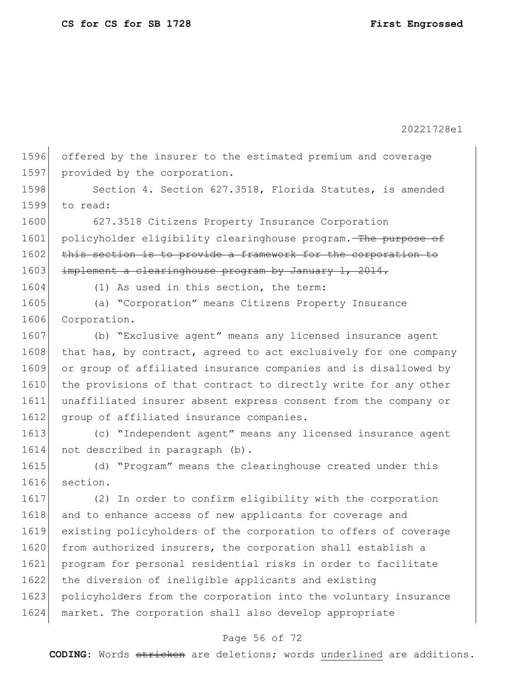1596 offered by the insurer to the estimated premium and coverage 1597 provided by the corporation. 1598 Section 4. Section 627.3518, Florida Statutes, is amended 1599 to read: 1600 627.3518 Citizens Property Insurance Corporation 1601 policyholder eligibility clearinghouse program.—The purpose of 1602 this section is to provide a framework for the corporation to 1603 implement a clearinghouse program by January 1, 2014. 1604 (1) As used in this section, the term: 1605 (a) "Corporation" means Citizens Property Insurance 1606 Corporation. 1607 (b) "Exclusive agent" means any licensed insurance agent 1608 that has, by contract, agreed to act exclusively for one company 1609 or group of affiliated insurance companies and is disallowed by 1610 the provisions of that contract to directly write for any other 1611 unaffiliated insurer absent express consent from the company or 1612 group of affiliated insurance companies. 1613 (c) "Independent agent" means any licensed insurance agent 1614 not described in paragraph (b). 1615 (d) "Program" means the clearinghouse created under this 1616 section. 1617 (2) In order to confirm eligibility with the corporation 1618 and to enhance access of new applicants for coverage and 1619 existing policyholders of the corporation to offers of coverage 1620 from authorized insurers, the corporation shall establish a 1621 program for personal residential risks in order to facilitate 1622 the diversion of ineligible applicants and existing 1623 policyholders from the corporation into the voluntary insurance 1624 market. The corporation shall also develop appropriate

# Page 56 of 72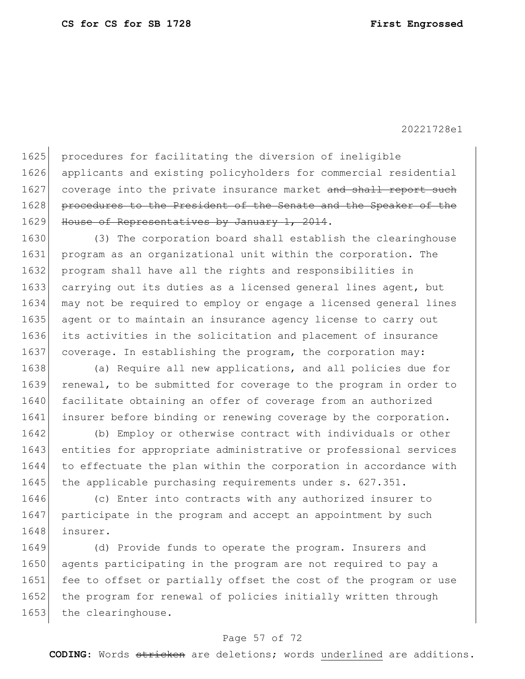1625 procedures for facilitating the diversion of ineligible 1626 applicants and existing policyholders for commercial residential 1627 coverage into the private insurance market and shall report such 1628 procedures to the President of the Senate and the Speaker of the 1629 House of Representatives by January 1, 2014.

 (3) The corporation board shall establish the clearinghouse program as an organizational unit within the corporation. The program shall have all the rights and responsibilities in 1633 carrying out its duties as a licensed general lines agent, but may not be required to employ or engage a licensed general lines agent or to maintain an insurance agency license to carry out its activities in the solicitation and placement of insurance 1637 coverage. In establishing the program, the corporation may:

1638 (a) Require all new applications, and all policies due for 1639 renewal, to be submitted for coverage to the program in order to 1640 facilitate obtaining an offer of coverage from an authorized 1641 insurer before binding or renewing coverage by the corporation.

1642 (b) Employ or otherwise contract with individuals or other 1643 entities for appropriate administrative or professional services 1644 to effectuate the plan within the corporation in accordance with 1645 the applicable purchasing requirements under s. 627.351.

1646 (c) Enter into contracts with any authorized insurer to 1647 participate in the program and accept an appointment by such 1648 insurer.

1649 (d) Provide funds to operate the program. Insurers and 1650 agents participating in the program are not required to pay a 1651 fee to offset or partially offset the cost of the program or use 1652 the program for renewal of policies initially written through 1653 the clearinghouse.

## Page 57 of 72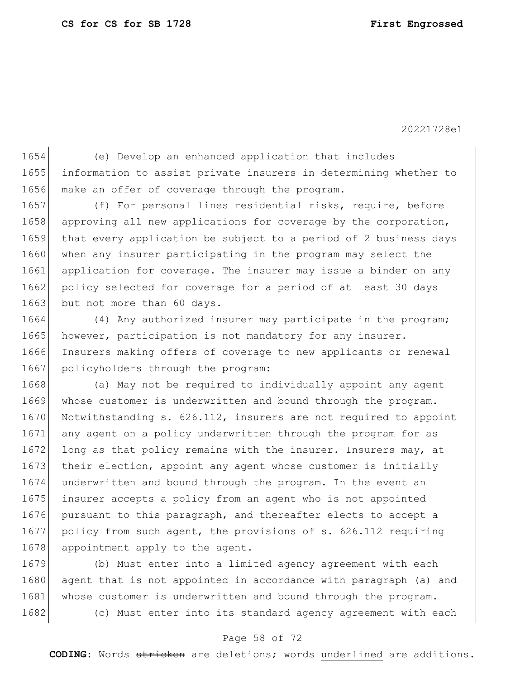1654 (e) Develop an enhanced application that includes 1655 information to assist private insurers in determining whether to 1656 make an offer of coverage through the program.

1657 (f) For personal lines residential risks, require, before 1658 approving all new applications for coverage by the corporation, 1659 that every application be subject to a period of 2 business days 1660 when any insurer participating in the program may select the 1661 application for coverage. The insurer may issue a binder on any 1662 policy selected for coverage for a period of at least 30 days 1663 but not more than 60 days.

1664 (4) Any authorized insurer may participate in the program; 1665 however, participation is not mandatory for any insurer. 1666 Insurers making offers of coverage to new applicants or renewal 1667 policyholders through the program:

1668 (a) May not be required to individually appoint any agent 1669 whose customer is underwritten and bound through the program. 1670 Notwithstanding s. 626.112, insurers are not required to appoint 1671 any agent on a policy underwritten through the program for as 1672 long as that policy remains with the insurer. Insurers may, at 1673 their election, appoint any agent whose customer is initially 1674 underwritten and bound through the program. In the event an 1675 insurer accepts a policy from an agent who is not appointed 1676 pursuant to this paragraph, and thereafter elects to accept a 1677 policy from such agent, the provisions of s. 626.112 requiring 1678 appointment apply to the agent.

1679 (b) Must enter into a limited agency agreement with each 1680 agent that is not appointed in accordance with paragraph (a) and 1681 whose customer is underwritten and bound through the program. 1682 (c) Must enter into its standard agency agreement with each

### Page 58 of 72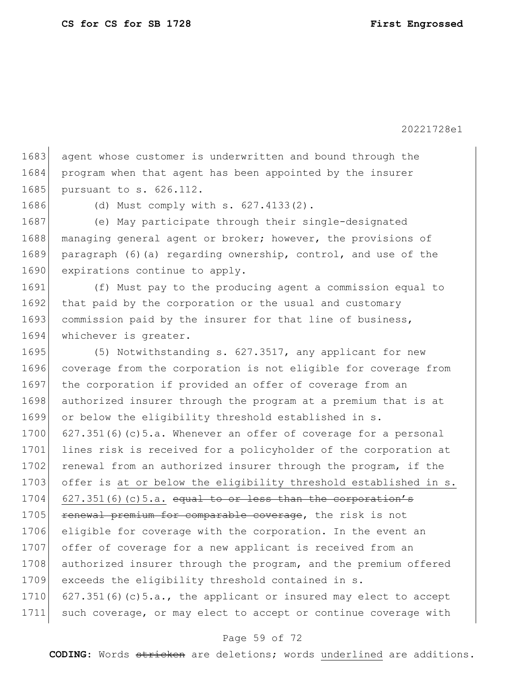1683 agent whose customer is underwritten and bound through the 1684 program when that agent has been appointed by the insurer 1685 pursuant to s. 626.112.

1686 (d) Must comply with s. 627.4133(2).

1687 (e) May participate through their single-designated 1688 managing general agent or broker; however, the provisions of 1689 paragraph (6)(a) regarding ownership, control, and use of the 1690 expirations continue to apply.

1691 (f) Must pay to the producing agent a commission equal to 1692 that paid by the corporation or the usual and customary 1693 commission paid by the insurer for that line of business, 1694 whichever is greater.

1695 (5) Notwithstanding s. 627.3517, any applicant for new 1696 coverage from the corporation is not eligible for coverage from 1697 the corporation if provided an offer of coverage from an 1698 authorized insurer through the program at a premium that is at 1699 or below the eligibility threshold established in s. 1700  $\left[627.351(6)(c)5.a.$  Whenever an offer of coverage for a personal 1701 lines risk is received for a policyholder of the corporation at 1702 renewal from an authorized insurer through the program, if the 1703 offer is at or below the eligibility threshold established in s.  $1704$  627.351(6)(c)5.a. equal to or less than the corporation's 1705 **renewal premium for comparable coverage,** the risk is not 1706 eligible for coverage with the corporation. In the event an 1707 offer of coverage for a new applicant is received from an 1708 authorized insurer through the program, and the premium offered 1709 exceeds the eligibility threshold contained in s. 1710 627.351(6)(c)5.a., the applicant or insured may elect to accept 1711 such coverage, or may elect to accept or continue coverage with

#### Page 59 of 72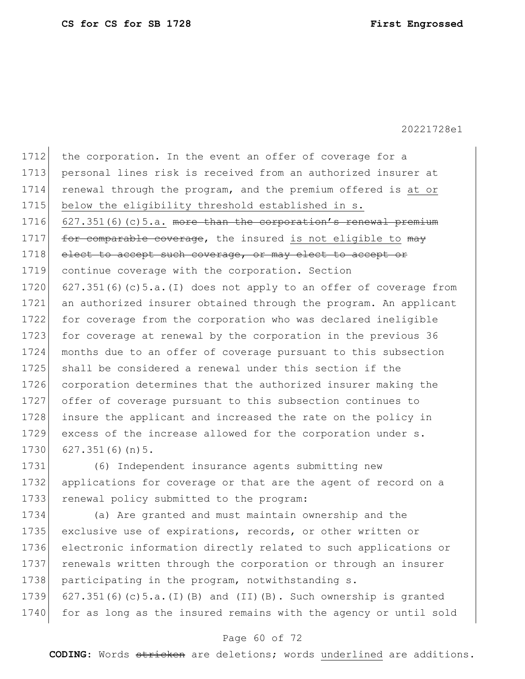1712 the corporation. In the event an offer of coverage for a personal lines risk is received from an authorized insurer at 1714 renewal through the program, and the premium offered is at or 1715 below the eligibility threshold established in s. 1716 627.351(6)(c)5.a. more than the corporation's renewal premium  $\frac{1}{100}$  for comparable coverage, the insured is not eligible to may 1718 elect to accept such coverage, or may elect to accept or continue coverage with the corporation. Section 1720 627.351(6)(c)5.a.(I) does not apply to an offer of coverage from an authorized insurer obtained through the program. An applicant for coverage from the corporation who was declared ineligible 1723 for coverage at renewal by the corporation in the previous 36 months due to an offer of coverage pursuant to this subsection 1725 shall be considered a renewal under this section if the corporation determines that the authorized insurer making the offer of coverage pursuant to this subsection continues to insure the applicant and increased the rate on the policy in excess of the increase allowed for the corporation under s. 627.351(6)(n)5. (6) Independent insurance agents submitting new applications for coverage or that are the agent of record on a

1733 renewal policy submitted to the program:

1734 (a) Are granted and must maintain ownership and the 1735 exclusive use of expirations, records, or other written or 1736 electronic information directly related to such applications or 1737 renewals written through the corporation or through an insurer 1738 participating in the program, notwithstanding s. 1739  $627.351(6)(c)5.a.(I)(B) and (II)(B). Such ownership is granted$ 1740 for as long as the insured remains with the agency or until sold

### Page 60 of 72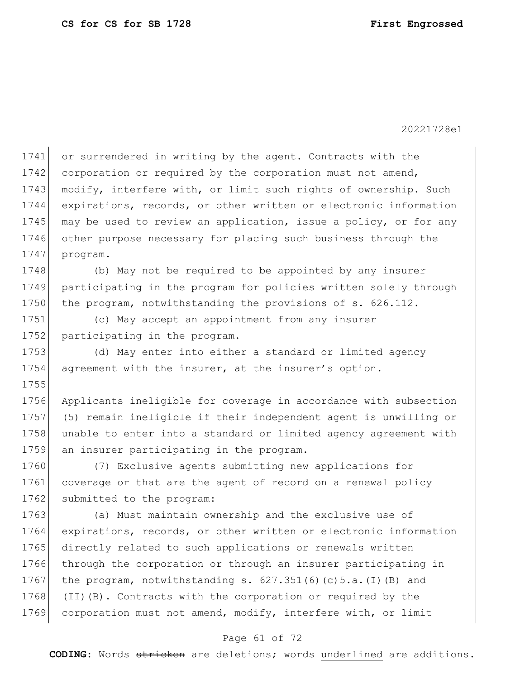1755

20221728e1

1741 or surrendered in writing by the agent. Contracts with the 1742 corporation or required by the corporation must not amend, 1743 modify, interfere with, or limit such rights of ownership. Such 1744 expirations, records, or other written or electronic information 1745 may be used to review an application, issue a policy, or for any 1746 other purpose necessary for placing such business through the 1747 program. 1748 (b) May not be required to be appointed by any insurer

1749 participating in the program for policies written solely through 1750 the program, notwithstanding the provisions of s. 626.112.

1751 (c) May accept an appointment from any insurer 1752 participating in the program.

1753 (d) May enter into either a standard or limited agency 1754 agreement with the insurer, at the insurer's option.

 Applicants ineligible for coverage in accordance with subsection (5) remain ineligible if their independent agent is unwilling or unable to enter into a standard or limited agency agreement with an insurer participating in the program.

1760 (7) Exclusive agents submitting new applications for 1761 coverage or that are the agent of record on a renewal policy 1762 submitted to the program:

1763 (a) Must maintain ownership and the exclusive use of 1764 expirations, records, or other written or electronic information 1765 directly related to such applications or renewals written 1766 through the corporation or through an insurer participating in 1767 the program, notwithstanding s.  $627.351(6)(c)5.a.(I)(B)$  and 1768 (II)(B). Contracts with the corporation or required by the 1769 corporation must not amend, modify, interfere with, or limit

## Page 61 of 72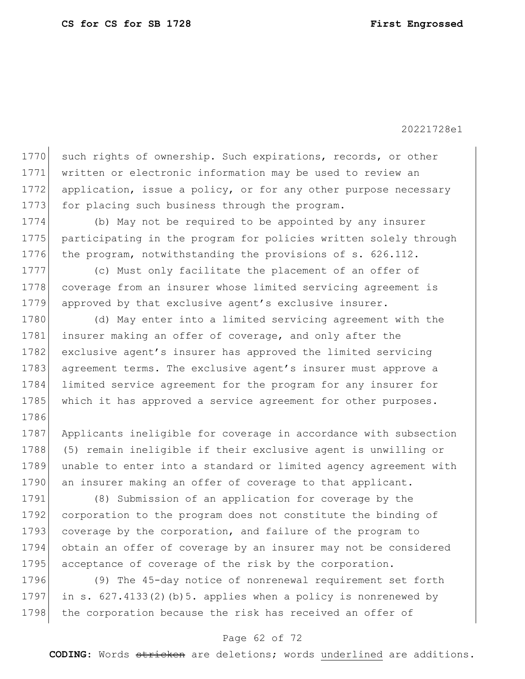1786

20221728e1

1770 such rights of ownership. Such expirations, records, or other 1771 written or electronic information may be used to review an 1772 application, issue a policy, or for any other purpose necessary 1773 for placing such business through the program.

1774 (b) May not be required to be appointed by any insurer 1775 participating in the program for policies written solely through 1776 the program, notwithstanding the provisions of s. 626.112.

1777 (c) Must only facilitate the placement of an offer of 1778 coverage from an insurer whose limited servicing agreement is 1779 approved by that exclusive agent's exclusive insurer.

1780 (d) May enter into a limited servicing agreement with the 1781 insurer making an offer of coverage, and only after the 1782 exclusive agent's insurer has approved the limited servicing 1783 agreement terms. The exclusive agent's insurer must approve a 1784 limited service agreement for the program for any insurer for 1785 which it has approved a service agreement for other purposes.

1787 Applicants ineligible for coverage in accordance with subsection 1788 (5) remain ineligible if their exclusive agent is unwilling or 1789 unable to enter into a standard or limited agency agreement with 1790 an insurer making an offer of coverage to that applicant.

1791 (8) Submission of an application for coverage by the 1792 corporation to the program does not constitute the binding of 1793 coverage by the corporation, and failure of the program to 1794 obtain an offer of coverage by an insurer may not be considered 1795 acceptance of coverage of the risk by the corporation.

1796 (9) The 45-day notice of nonrenewal requirement set forth 1797 in s. 627.4133(2)(b)5. applies when a policy is nonrenewed by 1798 the corporation because the risk has received an offer of

## Page 62 of 72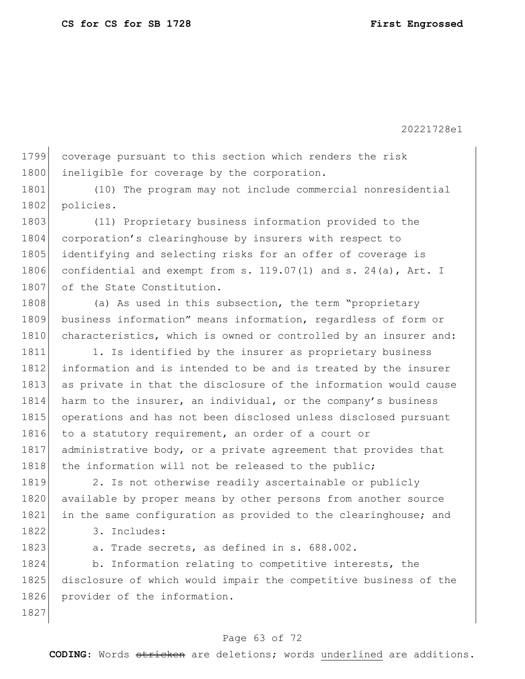1799 coverage pursuant to this section which renders the risk 1800 ineligible for coverage by the corporation.

1801 (10) The program may not include commercial nonresidential 1802 policies.

1803 (11) Proprietary business information provided to the 1804 corporation's clearinghouse by insurers with respect to 1805 identifying and selecting risks for an offer of coverage is 1806 confidential and exempt from s.  $119.07(1)$  and s.  $24(a)$ , Art. I 1807 of the State Constitution.

1808 (a) As used in this subsection, the term "proprietary 1809 business information" means information, regardless of form or 1810 characteristics, which is owned or controlled by an insurer and:

1811 1. Is identified by the insurer as proprietary business 1812 information and is intended to be and is treated by the insurer 1813 as private in that the disclosure of the information would cause 1814 harm to the insurer, an individual, or the company's business 1815 operations and has not been disclosed unless disclosed pursuant 1816 to a statutory requirement, an order of a court or 1817 administrative body, or a private agreement that provides that 1818 the information will not be released to the public;

1819 2. Is not otherwise readily ascertainable or publicly 1820 available by proper means by other persons from another source 1821 in the same configuration as provided to the clearinghouse; and

1822 3. Includes:

1827

1823 a. Trade secrets, as defined in s. 688.002.

1824 b. Information relating to competitive interests, the 1825 disclosure of which would impair the competitive business of the 1826 provider of the information.

## Page 63 of 72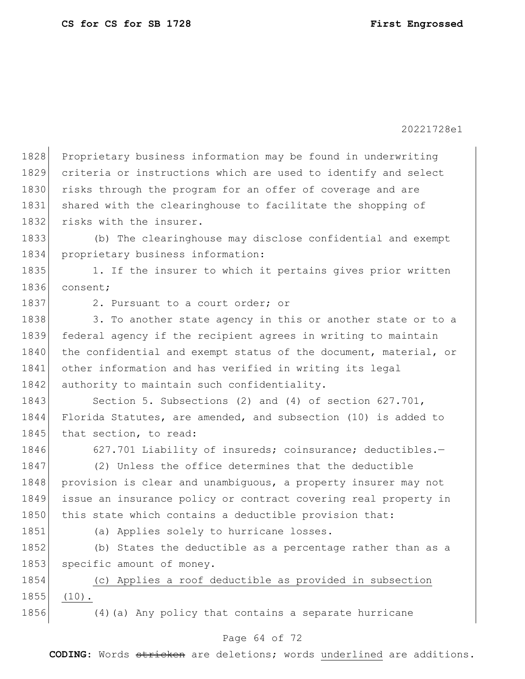| 1828 | Proprietary business information may be found in underwriting    |
|------|------------------------------------------------------------------|
| 1829 | criteria or instructions which are used to identify and select   |
| 1830 | risks through the program for an offer of coverage and are       |
| 1831 | shared with the clearinghouse to facilitate the shopping of      |
| 1832 | risks with the insurer.                                          |
| 1833 | (b) The clearinghouse may disclose confidential and exempt       |
| 1834 | proprietary business information:                                |
| 1835 | 1. If the insurer to which it pertains gives prior written       |
| 1836 | consent;                                                         |
| 1837 | 2. Pursuant to a court order; or                                 |
| 1838 | 3. To another state agency in this or another state or to a      |
| 1839 | federal agency if the recipient agrees in writing to maintain    |
| 1840 | the confidential and exempt status of the document, material, or |
| 1841 | other information and has verified in writing its legal          |
| 1842 | authority to maintain such confidentiality.                      |
| 1843 | Section 5. Subsections (2) and (4) of section $627.701$ ,        |
| 1844 | Florida Statutes, are amended, and subsection (10) is added to   |
| 1845 | that section, to read:                                           |
| 1846 | 627.701 Liability of insureds; coinsurance; deductibles.-        |
| 1847 | (2) Unless the office determines that the deductible             |
| 1848 | provision is clear and unambiguous, a property insurer may not   |
| 1849 | issue an insurance policy or contract covering real property in  |
| 1850 | this state which contains a deductible provision that:           |
| 1851 | (a) Applies solely to hurricane losses.                          |
| 1852 | (b) States the deductible as a percentage rather than as a       |
| 1853 | specific amount of money.                                        |
| 1854 | (c) Applies a roof deductible as provided in subsection          |
| 1855 | $(10)$ .                                                         |
| 1856 | (4) (a) Any policy that contains a separate hurricane            |
|      |                                                                  |

# Page 64 of 72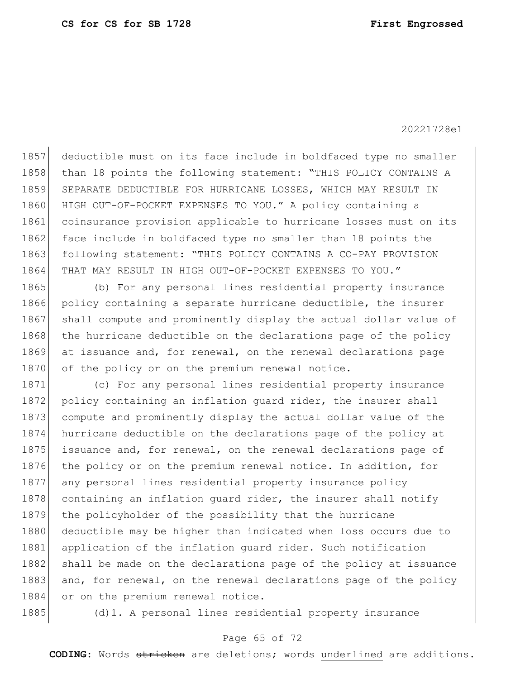1857 deductible must on its face include in boldfaced type no smaller 1858 than 18 points the following statement: "THIS POLICY CONTAINS A 1859 SEPARATE DEDUCTIBLE FOR HURRICANE LOSSES, WHICH MAY RESULT IN 1860 HIGH OUT-OF-POCKET EXPENSES TO YOU." A policy containing a 1861 coinsurance provision applicable to hurricane losses must on its 1862 face include in boldfaced type no smaller than 18 points the 1863 | following statement: "THIS POLICY CONTAINS A CO-PAY PROVISION 1864 THAT MAY RESULT IN HIGH OUT-OF-POCKET EXPENSES TO YOU."

1865 (b) For any personal lines residential property insurance 1866 policy containing a separate hurricane deductible, the insurer 1867 shall compute and prominently display the actual dollar value of 1868 the hurricane deductible on the declarations page of the policy 1869 at issuance and, for renewal, on the renewal declarations page 1870 of the policy or on the premium renewal notice.

1871 (c) For any personal lines residential property insurance 1872 policy containing an inflation quard rider, the insurer shall 1873 compute and prominently display the actual dollar value of the 1874 hurricane deductible on the declarations page of the policy at 1875 issuance and, for renewal, on the renewal declarations page of 1876 the policy or on the premium renewal notice. In addition, for 1877 any personal lines residential property insurance policy 1878 containing an inflation guard rider, the insurer shall notify 1879 the policyholder of the possibility that the hurricane 1880 deductible may be higher than indicated when loss occurs due to 1881 application of the inflation quard rider. Such notification 1882 shall be made on the declarations page of the policy at issuance 1883 and, for renewal, on the renewal declarations page of the policy 1884 or on the premium renewal notice.

1885 (d)1. A personal lines residential property insurance

### Page 65 of 72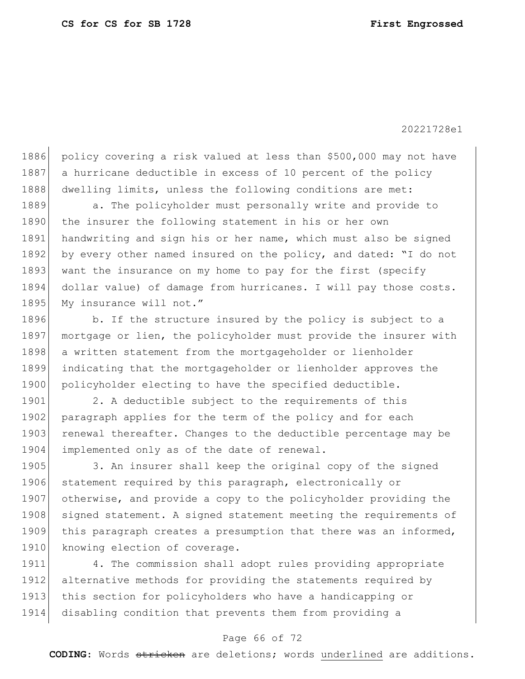1886 policy covering a risk valued at less than \$500,000 may not have 1887 a hurricane deductible in excess of 10 percent of the policy 1888 dwelling limits, unless the following conditions are met:

1889 a. The policyholder must personally write and provide to 1890 the insurer the following statement in his or her own 1891 handwriting and sign his or her name, which must also be signed 1892 by every other named insured on the policy, and dated: "I do not 1893 want the insurance on my home to pay for the first (specify 1894 dollar value) of damage from hurricanes. I will pay those costs. 1895 My insurance will not."

1896 b. If the structure insured by the policy is subject to a 1897 mortgage or lien, the policyholder must provide the insurer with 1898 a written statement from the mortgageholder or lienholder 1899 indicating that the mortgageholder or lienholder approves the 1900 policyholder electing to have the specified deductible.

1901 2. A deductible subject to the requirements of this 1902 paragraph applies for the term of the policy and for each 1903 renewal thereafter. Changes to the deductible percentage may be 1904 implemented only as of the date of renewal.

1905 3. An insurer shall keep the original copy of the signed 1906 statement required by this paragraph, electronically or 1907 otherwise, and provide a copy to the policyholder providing the 1908 signed statement. A signed statement meeting the requirements of 1909 this paragraph creates a presumption that there was an informed, 1910 knowing election of coverage.

1911 4. The commission shall adopt rules providing appropriate 1912 alternative methods for providing the statements required by 1913 this section for policyholders who have a handicapping or 1914 disabling condition that prevents them from providing a

## Page 66 of 72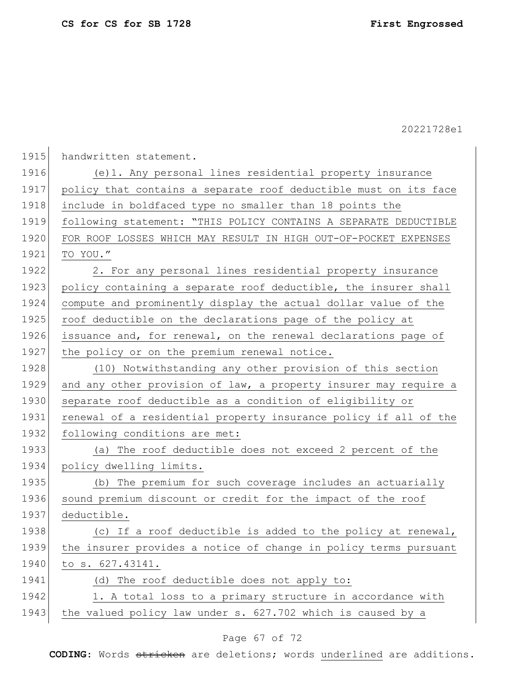| 1915 | handwritten statement.                                           |
|------|------------------------------------------------------------------|
| 1916 | (e) 1. Any personal lines residential property insurance         |
| 1917 | policy that contains a separate roof deductible must on its face |
| 1918 | include in boldfaced type no smaller than 18 points the          |
| 1919 | following statement: "THIS POLICY CONTAINS A SEPARATE DEDUCTIBLE |
| 1920 | FOR ROOF LOSSES WHICH MAY RESULT IN HIGH OUT-OF-POCKET EXPENSES  |
| 1921 | TO YOU."                                                         |
| 1922 | 2. For any personal lines residential property insurance         |
| 1923 | policy containing a separate roof deductible, the insurer shall  |
| 1924 | compute and prominently display the actual dollar value of the   |
| 1925 | roof deductible on the declarations page of the policy at        |
| 1926 | issuance and, for renewal, on the renewal declarations page of   |
| 1927 | the policy or on the premium renewal notice.                     |
| 1928 | (10) Notwithstanding any other provision of this section         |
| 1929 | and any other provision of law, a property insurer may require a |
| 1930 | separate roof deductible as a condition of eligibility or        |
| 1931 | renewal of a residential property insurance policy if all of the |
| 1932 | following conditions are met:                                    |
| 1933 | (a) The roof deductible does not exceed 2 percent of the         |
| 1934 | policy dwelling limits.                                          |
| 1935 | (b) The premium for such coverage includes an actuarially        |
| 1936 | sound premium discount or credit for the impact of the roof      |
| 1937 | deductible.                                                      |
| 1938 | (c) If a roof deductible is added to the policy at renewal,      |
| 1939 | the insurer provides a notice of change in policy terms pursuant |
| 1940 | to s. 627.43141.                                                 |
| 1941 | (d) The roof deductible does not apply to:                       |
| 1942 | 1. A total loss to a primary structure in accordance with        |
| 1943 | the valued policy law under s. 627.702 which is caused by a      |
|      |                                                                  |

# Page 67 of 72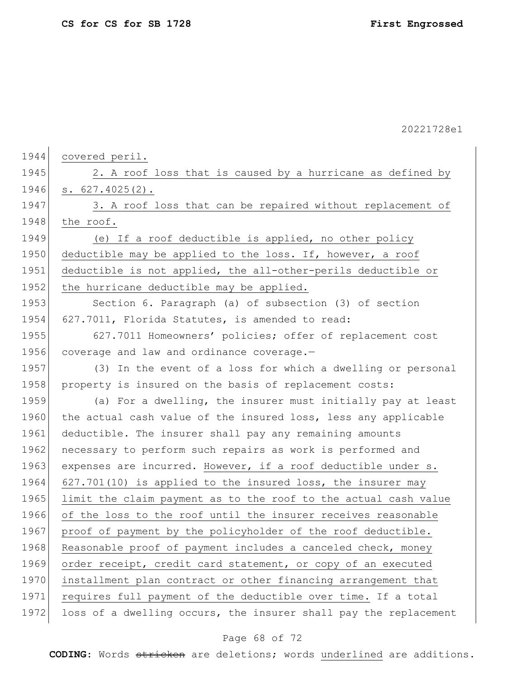| 1944 | covered peril.                                                   |
|------|------------------------------------------------------------------|
| 1945 | 2. A roof loss that is caused by a hurricane as defined by       |
| 1946 | $s. 627.4025(2)$ .                                               |
| 1947 | 3. A roof loss that can be repaired without replacement of       |
| 1948 | the roof.                                                        |
| 1949 | (e) If a roof deductible is applied, no other policy             |
| 1950 | deductible may be applied to the loss. If, however, a roof       |
| 1951 | deductible is not applied, the all-other-perils deductible or    |
| 1952 | the hurricane deductible may be applied.                         |
| 1953 | Section 6. Paragraph (a) of subsection (3) of section            |
| 1954 | 627.7011, Florida Statutes, is amended to read:                  |
| 1955 | 627.7011 Homeowners' policies; offer of replacement cost         |
| 1956 | coverage and law and ordinance coverage.-                        |
| 1957 | (3) In the event of a loss for which a dwelling or personal      |
| 1958 | property is insured on the basis of replacement costs:           |
| 1959 | (a) For a dwelling, the insurer must initially pay at least      |
| 1960 | the actual cash value of the insured loss, less any applicable   |
| 1961 | deductible. The insurer shall pay any remaining amounts          |
| 1962 | necessary to perform such repairs as work is performed and       |
| 1963 | expenses are incurred. However, if a roof deductible under s.    |
| 1964 | 627.701(10) is applied to the insured loss, the insurer may      |
| 1965 | limit the claim payment as to the roof to the actual cash value  |
| 1966 | of the loss to the roof until the insurer receives reasonable    |
| 1967 | proof of payment by the policyholder of the roof deductible.     |
| 1968 | Reasonable proof of payment includes a canceled check, money     |
| 1969 | order receipt, credit card statement, or copy of an executed     |
| 1970 | installment plan contract or other financing arrangement that    |
| 1971 | requires full payment of the deductible over time. If a total    |
| 1972 | loss of a dwelling occurs, the insurer shall pay the replacement |

# Page 68 of 72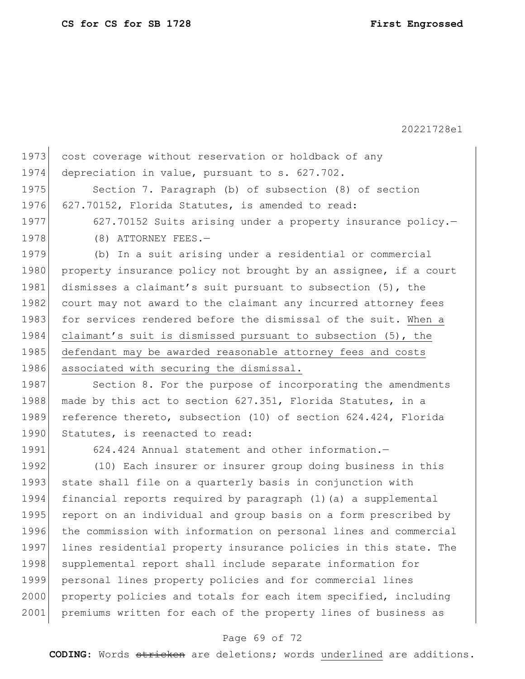| 1973<br>cost coverage without reservation or holdback of any                                                                                 |
|----------------------------------------------------------------------------------------------------------------------------------------------|
| 1974<br>depreciation in value, pursuant to s. 627.702.                                                                                       |
| 1975<br>Section 7. Paragraph (b) of subsection (8) of section                                                                                |
| 1976<br>627.70152, Florida Statutes, is amended to read:                                                                                     |
| 1977<br>627.70152 Suits arising under a property insurance policy.-                                                                          |
| (8) ATTORNEY FEES.-                                                                                                                          |
| (b) In a suit arising under a residential or commercial                                                                                      |
| property insurance policy not brought by an assignee, if a court                                                                             |
| dismisses a claimant's suit pursuant to subsection (5), the                                                                                  |
| court may not award to the claimant any incurred attorney fees                                                                               |
| for services rendered before the dismissal of the suit. When a                                                                               |
| claimant's suit is dismissed pursuant to subsection (5), the                                                                                 |
| defendant may be awarded reasonable attorney fees and costs                                                                                  |
| 1986<br>associated with securing the dismissal.                                                                                              |
| 1987<br>Section 8. For the purpose of incorporating the amendments                                                                           |
| made by this act to section 627.351, Florida Statutes, in a                                                                                  |
| reference thereto, subsection (10) of section 624.424, Florida                                                                               |
| 1990<br>Statutes, is reenacted to read:                                                                                                      |
| 624.424 Annual statement and other information.-                                                                                             |
| (10) Each insurer or insurer group doing business in this                                                                                    |
| state shall file on a quarterly basis in conjunction with                                                                                    |
| financial reports required by paragraph (1) (a) a supplemental                                                                               |
| report on an individual and group basis on a form prescribed by                                                                              |
| the commission with information on personal lines and commercial                                                                             |
| lines residential property insurance policies in this state. The                                                                             |
| supplemental report shall include separate information for                                                                                   |
| personal lines property policies and for commercial lines                                                                                    |
| property policies and totals for each item specified, including                                                                              |
| premiums written for each of the property lines of business as                                                                               |
| 1978<br>1979<br>1980<br>1982<br>1983<br>1984<br>1985<br>1988<br>1989<br>1991<br>1992<br>1993<br>1994<br>1995<br>1996<br>1997<br>1998<br>1999 |

# Page 69 of 72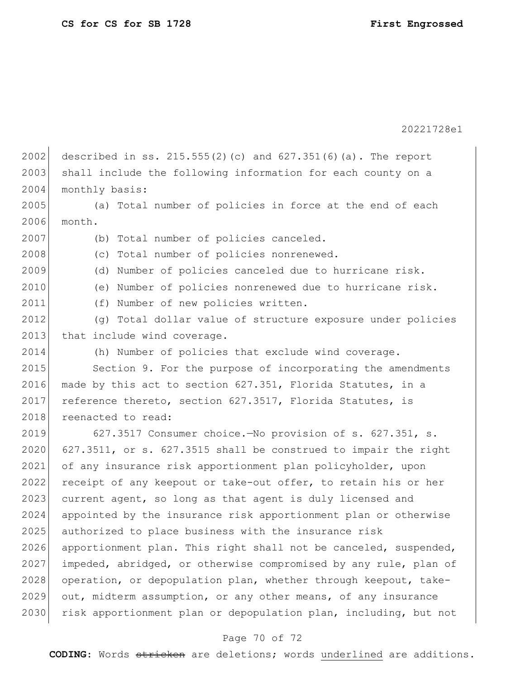2002 described in ss. 215.555(2)(c) and  $627.351(6)$  (a). The report 2003 shall include the following information for each county on a 2004 monthly basis: 2005 (a) Total number of policies in force at the end of each 2006 month. 2007 (b) Total number of policies canceled. 2008 (c) Total number of policies nonrenewed. 2009 (d) Number of policies canceled due to hurricane risk. 2010 (e) Number of policies nonrenewed due to hurricane risk. 2011 (f) Number of new policies written. 2012 (g) Total dollar value of structure exposure under policies 2013 that include wind coverage. 2014 (h) Number of policies that exclude wind coverage. 2015 Section 9. For the purpose of incorporating the amendments 2016 made by this act to section 627.351, Florida Statutes, in a 2017 reference thereto, section 627.3517, Florida Statutes, is 2018 reenacted to read: 2019 627.3517 Consumer choice.—No provision of s. 627.351, s. 2020 627.3511, or s. 627.3515 shall be construed to impair the right 2021 of any insurance risk apportionment plan policyholder, upon 2022 receipt of any keepout or take-out offer, to retain his or her 2023 current agent, so long as that agent is duly licensed and 2024 appointed by the insurance risk apportionment plan or otherwise 2025 authorized to place business with the insurance risk 2026 apportionment plan. This right shall not be canceled, suspended, 2027 impeded, abridged, or otherwise compromised by any rule, plan of 2028 operation, or depopulation plan, whether through keepout, take-2029 out, midterm assumption, or any other means, of any insurance 2030 risk apportionment plan or depopulation plan, including, but not

### Page 70 of 72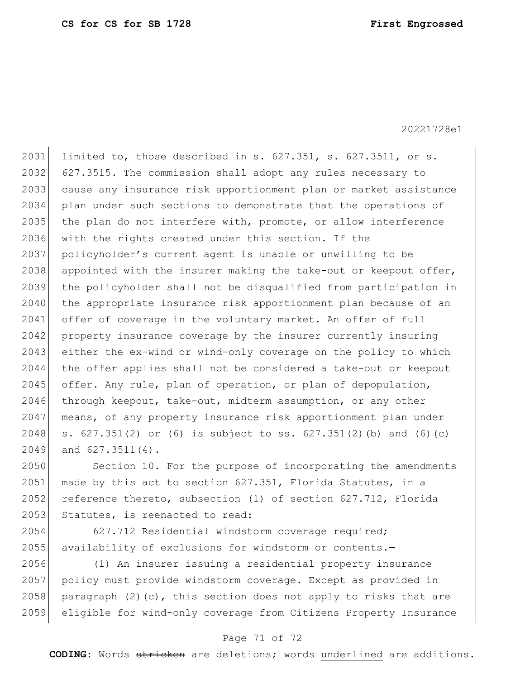2031 limited to, those described in s.  $627.351$ , s.  $627.3511$ , or s. 2032 627.3515. The commission shall adopt any rules necessary to 2033 cause any insurance risk apportionment plan or market assistance 2034 plan under such sections to demonstrate that the operations of 2035 the plan do not interfere with, promote, or allow interference 2036 with the rights created under this section. If the 2037 policyholder's current agent is unable or unwilling to be 2038 appointed with the insurer making the take-out or keepout offer, 2039 the policyholder shall not be disqualified from participation in 2040 | the appropriate insurance risk apportionment plan because of an 2041 offer of coverage in the voluntary market. An offer of full 2042 property insurance coverage by the insurer currently insuring 2043 either the ex-wind or wind-only coverage on the policy to which 2044 the offer applies shall not be considered a take-out or keepout 2045 offer. Any rule, plan of operation, or plan of depopulation, 2046 through keepout, take-out, midterm assumption, or any other 2047 means, of any property insurance risk apportionment plan under 2048 s.  $627.351(2)$  or (6) is subject to ss.  $627.351(2)$  (b) and (6)(c)  $2049$  and  $627.3511(4)$ .

2050 Section 10. For the purpose of incorporating the amendments 2051 made by this act to section 627.351, Florida Statutes, in a 2052 reference thereto, subsection (1) of section 627.712, Florida 2053 Statutes, is reenacted to read:

2054 627.712 Residential windstorm coverage required; 2055 availability of exclusions for windstorm or contents.-

 (1) An insurer issuing a residential property insurance policy must provide windstorm coverage. Except as provided in 2058 paragraph  $(2)$  (c), this section does not apply to risks that are eligible for wind-only coverage from Citizens Property Insurance

### Page 71 of 72